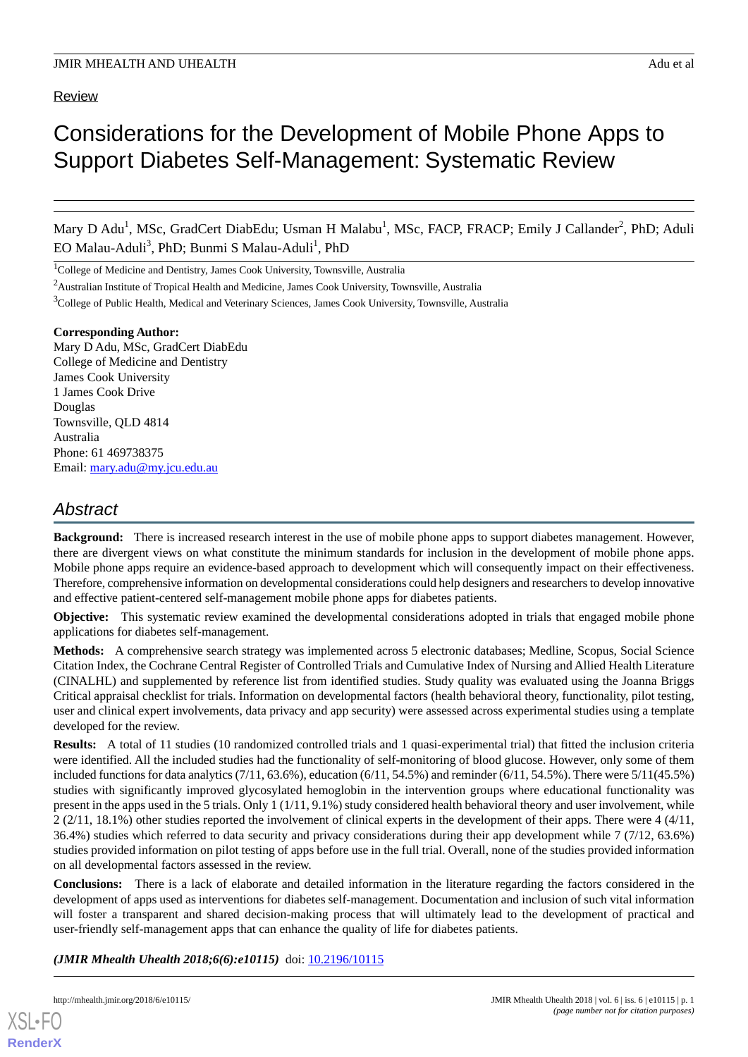Review

# Considerations for the Development of Mobile Phone Apps to Support Diabetes Self-Management: Systematic Review

Mary D Adu<sup>1</sup>, MSc, GradCert DiabEdu; Usman H Malabu<sup>1</sup>, MSc, FACP, FRACP; Emily J Callander<sup>2</sup>, PhD; Aduli EO Malau-Aduli<sup>3</sup>, PhD; Bunmi S Malau-Aduli<sup>1</sup>, PhD

<sup>1</sup>College of Medicine and Dentistry, James Cook University, Townsville, Australia

<sup>2</sup>Australian Institute of Tropical Health and Medicine, James Cook University, Townsville, Australia

<sup>3</sup>College of Public Health, Medical and Veterinary Sciences, James Cook University, Townsville, Australia

#### **Corresponding Author:**

Mary D Adu, MSc, GradCert DiabEdu College of Medicine and Dentistry James Cook University 1 James Cook Drive Douglas Townsville, QLD 4814 Australia Phone: 61 469738375 Email: [mary.adu@my.jcu.edu.au](mailto:mary.adu@my.jcu.edu.au)

# *Abstract*

**Background:** There is increased research interest in the use of mobile phone apps to support diabetes management. However, there are divergent views on what constitute the minimum standards for inclusion in the development of mobile phone apps. Mobile phone apps require an evidence-based approach to development which will consequently impact on their effectiveness. Therefore, comprehensive information on developmental considerations could help designers and researchers to develop innovative and effective patient-centered self-management mobile phone apps for diabetes patients.

**Objective:** This systematic review examined the developmental considerations adopted in trials that engaged mobile phone applications for diabetes self-management.

**Methods:** A comprehensive search strategy was implemented across 5 electronic databases; Medline, Scopus, Social Science Citation Index, the Cochrane Central Register of Controlled Trials and Cumulative Index of Nursing and Allied Health Literature (CINALHL) and supplemented by reference list from identified studies. Study quality was evaluated using the Joanna Briggs Critical appraisal checklist for trials. Information on developmental factors (health behavioral theory, functionality, pilot testing, user and clinical expert involvements, data privacy and app security) were assessed across experimental studies using a template developed for the review.

**Results:** A total of 11 studies (10 randomized controlled trials and 1 quasi-experimental trial) that fitted the inclusion criteria were identified. All the included studies had the functionality of self-monitoring of blood glucose. However, only some of them included functions for data analytics  $(7/11, 63.6\%)$ , education  $(6/11, 54.5\%)$  and reminder  $(6/11, 54.5\%)$ . There were  $5/11(45.5\%)$ studies with significantly improved glycosylated hemoglobin in the intervention groups where educational functionality was present in the apps used in the 5 trials. Only 1 (1/11, 9.1%) study considered health behavioral theory and user involvement, while  $2(2/11, 18.1%)$  other studies reported the involvement of clinical experts in the development of their apps. There were 4 (4/11, 36.4%) studies which referred to data security and privacy considerations during their app development while 7 (7/12, 63.6%) studies provided information on pilot testing of apps before use in the full trial. Overall, none of the studies provided information on all developmental factors assessed in the review.

**Conclusions:** There is a lack of elaborate and detailed information in the literature regarding the factors considered in the development of apps used as interventions for diabetes self-management. Documentation and inclusion of such vital information will foster a transparent and shared decision-making process that will ultimately lead to the development of practical and user-friendly self-management apps that can enhance the quality of life for diabetes patients.

*(JMIR Mhealth Uhealth 2018;6(6):e10115)* doi:  $10.2196/10115$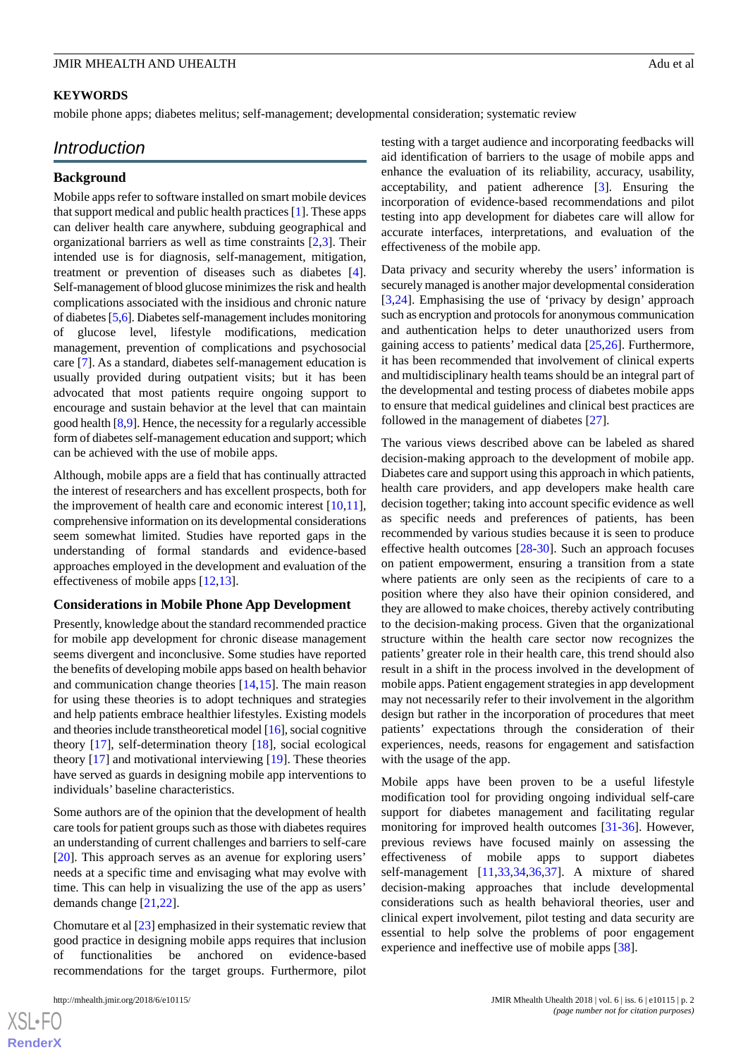### **KEYWORDS**

mobile phone apps; diabetes melitus; self-management; developmental consideration; systematic review

# *Introduction*

# **Background**

Mobile apps refer to software installed on smart mobile devices that support medical and public health practices [\[1](#page-8-0)]. These apps can deliver health care anywhere, subduing geographical and organizational barriers as well as time constraints [[2](#page-8-1)[,3](#page-8-2)]. Their intended use is for diagnosis, self-management, mitigation, treatment or prevention of diseases such as diabetes [[4\]](#page-8-3). Self-management of blood glucose minimizes the risk and health complications associated with the insidious and chronic nature of diabetes [\[5](#page-8-4),[6\]](#page-8-5). Diabetes self-management includes monitoring of glucose level, lifestyle modifications, medication management, prevention of complications and psychosocial care [[7\]](#page-8-6). As a standard, diabetes self-management education is usually provided during outpatient visits; but it has been advocated that most patients require ongoing support to encourage and sustain behavior at the level that can maintain good health [\[8](#page-8-7),[9\]](#page-8-8). Hence, the necessity for a regularly accessible form of diabetes self-management education and support; which can be achieved with the use of mobile apps.

Although, mobile apps are a field that has continually attracted the interest of researchers and has excellent prospects, both for the improvement of health care and economic interest  $[10,11]$  $[10,11]$  $[10,11]$ , comprehensive information on its developmental considerations seem somewhat limited. Studies have reported gaps in the understanding of formal standards and evidence-based approaches employed in the development and evaluation of the effectiveness of mobile apps [[12](#page-8-11)[,13](#page-8-12)].

#### **Considerations in Mobile Phone App Development**

Presently, knowledge about the standard recommended practice for mobile app development for chronic disease management seems divergent and inconclusive. Some studies have reported the benefits of developing mobile apps based on health behavior and communication change theories [[14,](#page-8-13)[15](#page-8-14)]. The main reason for using these theories is to adopt techniques and strategies and help patients embrace healthier lifestyles. Existing models and theories include transtheoretical model [[16](#page-8-15)], social cognitive theory [\[17](#page-8-16)], self-determination theory [\[18](#page-8-17)], social ecological theory [[17\]](#page-8-16) and motivational interviewing [\[19](#page-8-18)]. These theories have served as guards in designing mobile app interventions to individuals' baseline characteristics.

Some authors are of the opinion that the development of health care tools for patient groups such as those with diabetes requires an understanding of current challenges and barriers to self-care [[20\]](#page-8-19). This approach serves as an avenue for exploring users' needs at a specific time and envisaging what may evolve with time. This can help in visualizing the use of the app as users' demands change [[21,](#page-8-20)[22](#page-8-21)].

Chomutare et al [\[23](#page-8-22)] emphasized in their systematic review that good practice in designing mobile apps requires that inclusion of functionalities be anchored on evidence-based recommendations for the target groups. Furthermore, pilot

testing with a target audience and incorporating feedbacks will aid identification of barriers to the usage of mobile apps and enhance the evaluation of its reliability, accuracy, usability, acceptability, and patient adherence [\[3](#page-8-2)]. Ensuring the incorporation of evidence-based recommendations and pilot testing into app development for diabetes care will allow for accurate interfaces, interpretations, and evaluation of the effectiveness of the mobile app.

Data privacy and security whereby the users' information is securely managed is another major developmental consideration [[3](#page-8-2)[,24](#page-9-0)]. Emphasising the use of 'privacy by design' approach such as encryption and protocols for anonymous communication and authentication helps to deter unauthorized users from gaining access to patients' medical data [\[25](#page-9-1),[26\]](#page-9-2). Furthermore, it has been recommended that involvement of clinical experts and multidisciplinary health teams should be an integral part of the developmental and testing process of diabetes mobile apps to ensure that medical guidelines and clinical best practices are followed in the management of diabetes [[27\]](#page-9-3).

The various views described above can be labeled as shared decision-making approach to the development of mobile app. Diabetes care and support using this approach in which patients, health care providers, and app developers make health care decision together; taking into account specific evidence as well as specific needs and preferences of patients, has been recommended by various studies because it is seen to produce effective health outcomes [\[28](#page-9-4)[-30](#page-9-5)]. Such an approach focuses on patient empowerment, ensuring a transition from a state where patients are only seen as the recipients of care to a position where they also have their opinion considered, and they are allowed to make choices, thereby actively contributing to the decision-making process. Given that the organizational structure within the health care sector now recognizes the patients' greater role in their health care, this trend should also result in a shift in the process involved in the development of mobile apps. Patient engagement strategies in app development may not necessarily refer to their involvement in the algorithm design but rather in the incorporation of procedures that meet patients' expectations through the consideration of their experiences, needs, reasons for engagement and satisfaction with the usage of the app.

Mobile apps have been proven to be a useful lifestyle modification tool for providing ongoing individual self-care support for diabetes management and facilitating regular monitoring for improved health outcomes [[31](#page-9-6)[-36](#page-9-7)]. However, previous reviews have focused mainly on assessing the effectiveness of mobile apps to support diabetes self-management [[11,](#page-8-10)[33](#page-9-8),[34,](#page-9-9)[36](#page-9-7),[37\]](#page-9-10). A mixture of shared decision-making approaches that include developmental considerations such as health behavioral theories, user and clinical expert involvement, pilot testing and data security are essential to help solve the problems of poor engagement experience and ineffective use of mobile apps [[38\]](#page-9-11).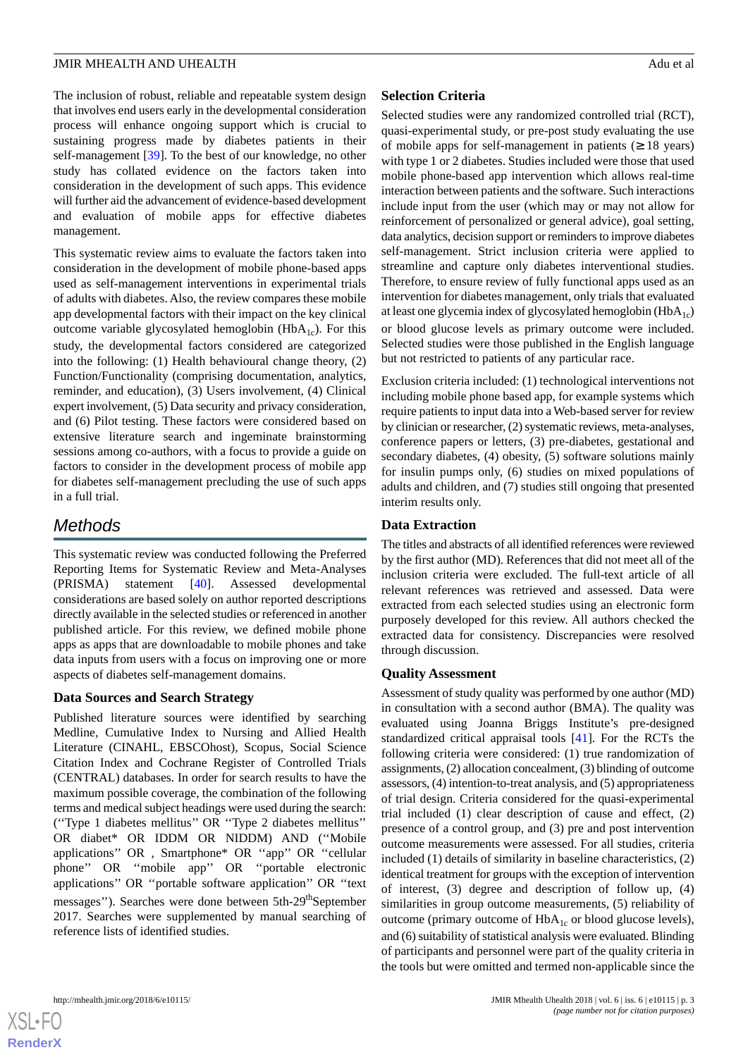The inclusion of robust, reliable and repeatable system design that involves end users early in the developmental consideration process will enhance ongoing support which is crucial to sustaining progress made by diabetes patients in their self-management [\[39](#page-9-12)]. To the best of our knowledge, no other study has collated evidence on the factors taken into consideration in the development of such apps. This evidence will further aid the advancement of evidence-based development and evaluation of mobile apps for effective diabetes management.

This systematic review aims to evaluate the factors taken into consideration in the development of mobile phone-based apps used as self-management interventions in experimental trials of adults with diabetes. Also, the review compares these mobile app developmental factors with their impact on the key clinical outcome variable glycosylated hemoglobin  $(HbA<sub>1c</sub>)$ . For this study, the developmental factors considered are categorized into the following: (1) Health behavioural change theory, (2) Function/Functionality (comprising documentation, analytics, reminder, and education), (3) Users involvement, (4) Clinical expert involvement, (5) Data security and privacy consideration, and (6) Pilot testing. These factors were considered based on extensive literature search and ingeminate brainstorming sessions among co-authors, with a focus to provide a guide on factors to consider in the development process of mobile app for diabetes self-management precluding the use of such apps in a full trial.

# *Methods*

This systematic review was conducted following the Preferred Reporting Items for Systematic Review and Meta-Analyses (PRISMA) statement [[40\]](#page-9-13). Assessed developmental considerations are based solely on author reported descriptions directly available in the selected studies or referenced in another published article. For this review, we defined mobile phone apps as apps that are downloadable to mobile phones and take data inputs from users with a focus on improving one or more aspects of diabetes self-management domains.

# **Data Sources and Search Strategy**

Published literature sources were identified by searching Medline, Cumulative Index to Nursing and Allied Health Literature (CINAHL, EBSCOhost), Scopus, Social Science Citation Index and Cochrane Register of Controlled Trials (CENTRAL) databases. In order for search results to have the maximum possible coverage, the combination of the following terms and medical subject headings were used during the search: (''Type 1 diabetes mellitus'' OR ''Type 2 diabetes mellitus'' OR diabet\* OR IDDM OR NIDDM) AND (''Mobile applications'' OR , Smartphone\* OR ''app'' OR ''cellular phone'' OR ''mobile app'' OR ''portable electronic applications'' OR ''portable software application'' OR ''text messages"). Searches were done between 5th-29<sup>th</sup>September 2017. Searches were supplemented by manual searching of reference lists of identified studies.

# **Selection Criteria**

Selected studies were any randomized controlled trial (RCT), quasi-experimental study, or pre-post study evaluating the use of mobile apps for self-management in patients  $(≥ 18 \text{ years})$ with type 1 or 2 diabetes. Studies included were those that used mobile phone-based app intervention which allows real-time interaction between patients and the software. Such interactions include input from the user (which may or may not allow for reinforcement of personalized or general advice), goal setting, data analytics, decision support or reminders to improve diabetes self-management. Strict inclusion criteria were applied to streamline and capture only diabetes interventional studies. Therefore, to ensure review of fully functional apps used as an intervention for diabetes management, only trials that evaluated at least one glycemia index of glycosylated hemoglobin  $(HbA_{1c})$ or blood glucose levels as primary outcome were included. Selected studies were those published in the English language but not restricted to patients of any particular race.

Exclusion criteria included: (1) technological interventions not including mobile phone based app, for example systems which require patients to input data into a Web-based server for review by clinician or researcher, (2) systematic reviews, meta-analyses, conference papers or letters, (3) pre-diabetes, gestational and secondary diabetes, (4) obesity, (5) software solutions mainly for insulin pumps only, (6) studies on mixed populations of adults and children, and (7) studies still ongoing that presented interim results only.

# **Data Extraction**

The titles and abstracts of all identified references were reviewed by the first author (MD). References that did not meet all of the inclusion criteria were excluded. The full-text article of all relevant references was retrieved and assessed. Data were extracted from each selected studies using an electronic form purposely developed for this review. All authors checked the extracted data for consistency. Discrepancies were resolved through discussion.

# **Quality Assessment**

Assessment of study quality was performed by one author (MD) in consultation with a second author (BMA). The quality was evaluated using Joanna Briggs Institute's pre-designed standardized critical appraisal tools [\[41](#page-9-14)]. For the RCTs the following criteria were considered: (1) true randomization of assignments, (2) allocation concealment, (3) blinding of outcome assessors, (4) intention-to-treat analysis, and (5) appropriateness of trial design. Criteria considered for the quasi-experimental trial included (1) clear description of cause and effect, (2) presence of a control group, and (3) pre and post intervention outcome measurements were assessed. For all studies, criteria included (1) details of similarity in baseline characteristics, (2) identical treatment for groups with the exception of intervention of interest, (3) degree and description of follow up, (4) similarities in group outcome measurements, (5) reliability of outcome (primary outcome of  $HbA_{1c}$  or blood glucose levels), and (6) suitability of statistical analysis were evaluated. Blinding of participants and personnel were part of the quality criteria in the tools but were omitted and termed non-applicable since the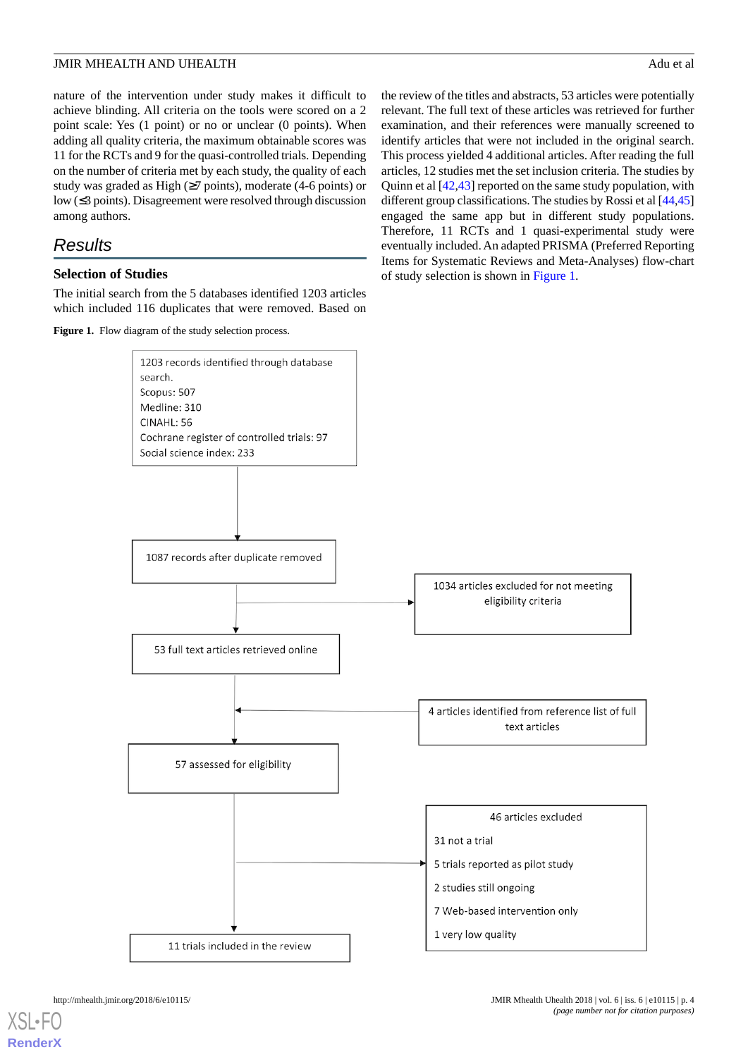nature of the intervention under study makes it difficult to achieve blinding. All criteria on the tools were scored on a 2 point scale: Yes (1 point) or no or unclear (0 points). When adding all quality criteria, the maximum obtainable scores was 11 for the RCTs and 9 for the quasi-controlled trials. Depending on the number of criteria met by each study, the quality of each study was graded as High  $(\geq 7 \text{ points})$ , moderate (4-6 points) or low (≤3 points). Disagreement were resolved through discussion among authors.

# *Results*

# **Selection of Studies**

<span id="page-3-0"></span>The initial search from the 5 databases identified 1203 articles which included 116 duplicates that were removed. Based on

Figure 1. Flow diagram of the study selection process.

the review of the titles and abstracts, 53 articles were potentially relevant. The full text of these articles was retrieved for further examination, and their references were manually screened to identify articles that were not included in the original search. This process yielded 4 additional articles. After reading the full articles, 12 studies met the set inclusion criteria. The studies by Quinn et al [\[42](#page-9-15),[43\]](#page-9-16) reported on the same study population, with different group classifications. The studies by Rossi et al [\[44](#page-9-17),[45\]](#page-10-0) engaged the same app but in different study populations. Therefore, 11 RCTs and 1 quasi-experimental study were eventually included. An adapted PRISMA (Preferred Reporting Items for Systematic Reviews and Meta-Analyses) flow-chart of study selection is shown in [Figure 1](#page-3-0).



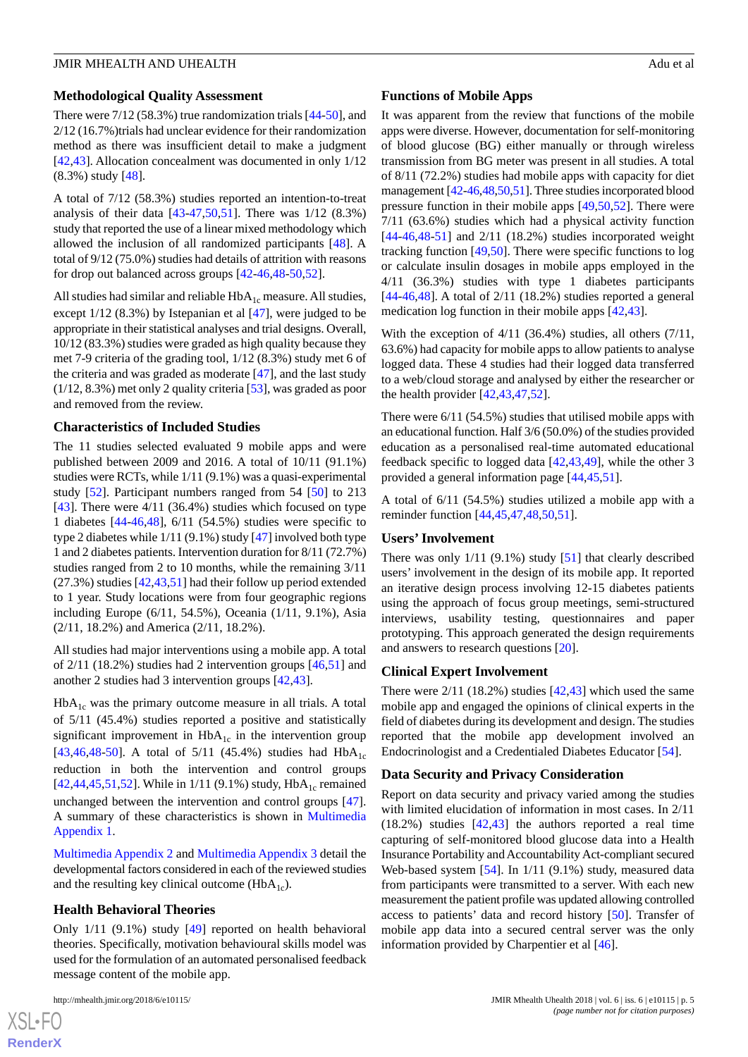# **Methodological Quality Assessment**

There were 7/12 (58.3%) true randomization trials [\[44](#page-9-17)[-50](#page-10-1)], and 2/12 (16.7%)trials had unclear evidence for their randomization method as there was insufficient detail to make a judgment [[42](#page-9-15)[,43](#page-9-16)]. Allocation concealment was documented in only 1/12 (8.3%) study [\[48](#page-10-2)].

A total of 7/12 (58.3%) studies reported an intention-to-treat analysis of their data [[43-](#page-9-16)[47](#page-10-3)[,50](#page-10-1),[51\]](#page-10-4). There was 1/12 (8.3%) study that reported the use of a linear mixed methodology which allowed the inclusion of all randomized participants [\[48](#page-10-2)]. A total of 9/12 (75.0%) studies had details of attrition with reasons for drop out balanced across groups [\[42](#page-9-15)-[46,](#page-10-5)[48](#page-10-2)[-50](#page-10-1)[,52](#page-10-6)].

All studies had similar and reliable  $HbA_{1c}$  measure. All studies, except  $1/12$  (8.3%) by Istepanian et al  $[47]$  $[47]$ , were judged to be appropriate in their statistical analyses and trial designs. Overall, 10/12 (83.3%) studies were graded as high quality because they met 7-9 criteria of the grading tool, 1/12 (8.3%) study met 6 of the criteria and was graded as moderate [[47\]](#page-10-3), and the last study (1/12, 8.3%) met only 2 quality criteria [[53](#page-10-7)], was graded as poor and removed from the review.

# **Characteristics of Included Studies**

The 11 studies selected evaluated 9 mobile apps and were published between 2009 and 2016. A total of 10/11 (91.1%) studies were RCTs, while 1/11 (9.1%) was a quasi-experimental study [\[52](#page-10-6)]. Participant numbers ranged from 54 [[50\]](#page-10-1) to 213 [[43\]](#page-9-16). There were  $4/11$  (36.4%) studies which focused on type 1 diabetes [\[44](#page-9-17)[-46](#page-10-5),[48\]](#page-10-2), 6/11 (54.5%) studies were specific to type 2 diabetes while 1/11 (9.1%) study [\[47](#page-10-3)] involved both type 1 and 2 diabetes patients. Intervention duration for 8/11 (72.7%) studies ranged from 2 to 10 months, while the remaining 3/11 (27.3%) studies [\[42](#page-9-15),[43](#page-9-16)[,51](#page-10-4)] had their follow up period extended to 1 year. Study locations were from four geographic regions including Europe (6/11, 54.5%), Oceania (1/11, 9.1%), Asia (2/11, 18.2%) and America (2/11, 18.2%).

All studies had major interventions using a mobile app. A total of 2/11 (18.2%) studies had 2 intervention groups [[46,](#page-10-5)[51](#page-10-4)] and another 2 studies had 3 intervention groups [[42,](#page-9-15)[43\]](#page-9-16).

 $HbA<sub>1c</sub>$  was the primary outcome measure in all trials. A total of 5/11 (45.4%) studies reported a positive and statistically significant improvement in  $HbA_{1c}$  in the intervention group [[43](#page-9-16)[,46](#page-10-5),[48](#page-10-2)[-50](#page-10-1)]. A total of  $5/11$  (45.4%) studies had HbA<sub>1c</sub> reduction in both the intervention and control groups [[42](#page-9-15)[,44](#page-9-17),[45](#page-10-0)[,51](#page-10-4),[52\]](#page-10-6). While in 1/11 (9.1%) study,  $HbA_{1c}$  remained unchanged between the intervention and control groups [[47\]](#page-10-3). A summary of these characteristics is shown in [Multimedia](#page-7-0) [Appendix 1.](#page-7-0)

[Multimedia Appendix 2](#page-7-1) and [Multimedia Appendix 3](#page-7-2) detail the developmental factors considered in each of the reviewed studies and the resulting key clinical outcome ( $HbA_{1c}$ ).

# **Health Behavioral Theories**

Only 1/11 (9.1%) study [[49\]](#page-10-8) reported on health behavioral theories. Specifically, motivation behavioural skills model was used for the formulation of an automated personalised feedback message content of the mobile app.

 $XS$  • FC **[RenderX](http://www.renderx.com/)**

### **Functions of Mobile Apps**

It was apparent from the review that functions of the mobile apps were diverse. However, documentation for self-monitoring of blood glucose (BG) either manually or through wireless transmission from BG meter was present in all studies. A total of 8/11 (72.2%) studies had mobile apps with capacity for diet management [[42-](#page-9-15)[46,](#page-10-5)[48](#page-10-2)[,50](#page-10-1)[,51](#page-10-4)]. Three studies incorporated blood pressure function in their mobile apps [[49,](#page-10-8)[50](#page-10-1)[,52](#page-10-6)]. There were 7/11 (63.6%) studies which had a physical activity function  $[44-46,48-51]$  $[44-46,48-51]$  $[44-46,48-51]$  $[44-46,48-51]$  $[44-46,48-51]$  $[44-46,48-51]$  $[44-46,48-51]$  and  $2/11$   $(18.2\%)$  studies incorporated weight tracking function [\[49](#page-10-8),[50\]](#page-10-1). There were specific functions to log or calculate insulin dosages in mobile apps employed in the 4/11 (36.3%) studies with type 1 diabetes participants  $[44-46,48]$  $[44-46,48]$  $[44-46,48]$  $[44-46,48]$  $[44-46,48]$ . A total of  $2/11$  (18.2%) studies reported a general medication log function in their mobile apps [\[42](#page-9-15),[43\]](#page-9-16).

With the exception of 4/11 (36.4%) studies, all others (7/11, 63.6%) had capacity for mobile apps to allow patients to analyse logged data. These 4 studies had their logged data transferred to a web/cloud storage and analysed by either the researcher or the health provider [[42](#page-9-15)[,43](#page-9-16),[47](#page-10-3)[,52](#page-10-6)].

There were 6/11 (54.5%) studies that utilised mobile apps with an educational function. Half 3/6 (50.0%) of the studies provided education as a personalised real-time automated educational feedback specific to logged data [\[42](#page-9-15),[43,](#page-9-16)[49](#page-10-8)], while the other 3 provided a general information page [[44](#page-9-17)[,45](#page-10-0),[51\]](#page-10-4).

A total of 6/11 (54.5%) studies utilized a mobile app with a reminder function [\[44](#page-9-17),[45](#page-10-0)[,47](#page-10-3),[48](#page-10-2)[,50](#page-10-1),[51\]](#page-10-4).

# **Users' Involvement**

There was only 1/11 (9.1%) study [\[51](#page-10-4)] that clearly described users' involvement in the design of its mobile app. It reported an iterative design process involving 12-15 diabetes patients using the approach of focus group meetings, semi-structured interviews, usability testing, questionnaires and paper prototyping. This approach generated the design requirements and answers to research questions [[20\]](#page-8-19).

# **Clinical Expert Involvement**

There were 2/11 (18.2%) studies [[42](#page-9-15)[,43](#page-9-16)] which used the same mobile app and engaged the opinions of clinical experts in the field of diabetes during its development and design. The studies reported that the mobile app development involved an Endocrinologist and a Credentialed Diabetes Educator [[54\]](#page-10-9).

# **Data Security and Privacy Consideration**

Report on data security and privacy varied among the studies with limited elucidation of information in most cases. In 2/11 (18.2%) studies [\[42](#page-9-15),[43\]](#page-9-16) the authors reported a real time capturing of self-monitored blood glucose data into a Health Insurance Portability and Accountability Act-compliant secured Web-based system [\[54](#page-10-9)]. In 1/11 (9.1%) study, measured data from participants were transmitted to a server. With each new measurement the patient profile was updated allowing controlled access to patients' data and record history [\[50](#page-10-1)]. Transfer of mobile app data into a secured central server was the only information provided by Charpentier et al [\[46](#page-10-5)].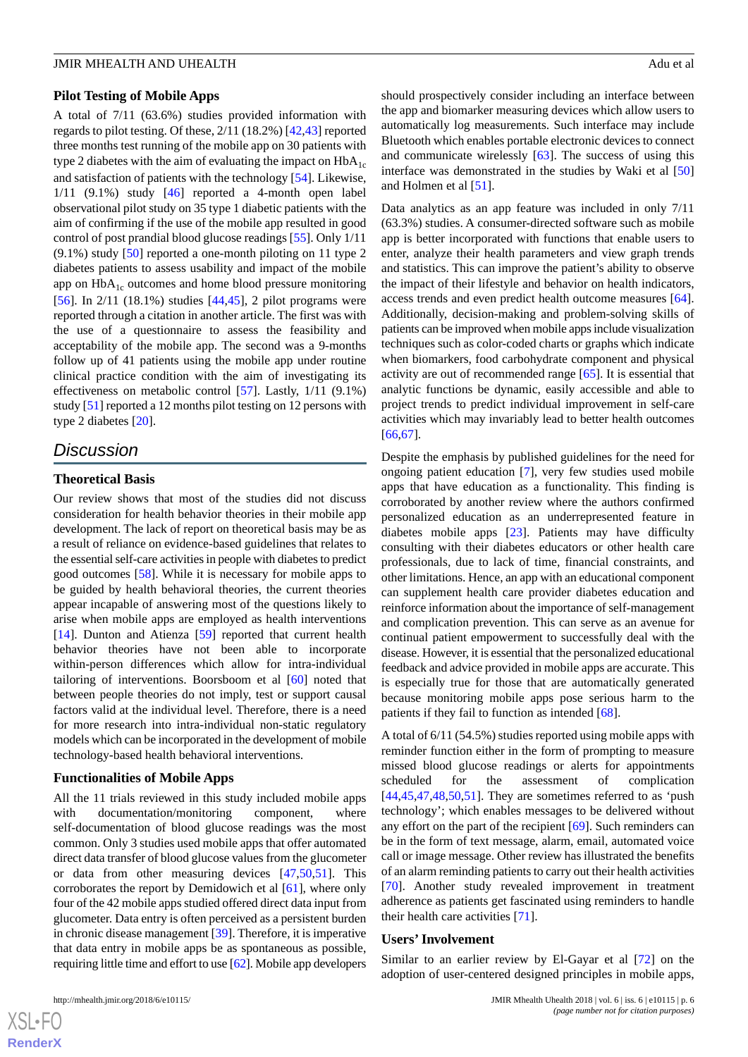#### **Pilot Testing of Mobile Apps**

A total of 7/11 (63.6%) studies provided information with regards to pilot testing. Of these, 2/11 (18.2%) [\[42](#page-9-15),[43\]](#page-9-16) reported three months test running of the mobile app on 30 patients with type 2 diabetes with the aim of evaluating the impact on  $H\mathsf{bA}_{1c}$ and satisfaction of patients with the technology [[54\]](#page-10-9). Likewise,  $1/11$  (9.1%) study [\[46](#page-10-5)] reported a 4-month open label observational pilot study on 35 type 1 diabetic patients with the aim of confirming if the use of the mobile app resulted in good control of post prandial blood glucose readings [[55\]](#page-10-10). Only 1/11  $(9.1\%)$  study [[50\]](#page-10-1) reported a one-month piloting on 11 type 2 diabetes patients to assess usability and impact of the mobile app on  $HbA_{1c}$  outcomes and home blood pressure monitoring [[56\]](#page-10-11). In 2/11 (18.1%) studies [[44](#page-9-17)[,45](#page-10-0)], 2 pilot programs were reported through a citation in another article. The first was with the use of a questionnaire to assess the feasibility and acceptability of the mobile app. The second was a 9-months follow up of 41 patients using the mobile app under routine clinical practice condition with the aim of investigating its effectiveness on metabolic control [[57\]](#page-10-12). Lastly, 1/11 (9.1%) study [\[51](#page-10-4)] reported a 12 months pilot testing on 12 persons with type 2 diabetes [\[20](#page-8-19)].

# *Discussion*

#### **Theoretical Basis**

Our review shows that most of the studies did not discuss consideration for health behavior theories in their mobile app development. The lack of report on theoretical basis may be as a result of reliance on evidence-based guidelines that relates to the essential self-care activities in people with diabetes to predict good outcomes [\[58](#page-10-13)]. While it is necessary for mobile apps to be guided by health behavioral theories, the current theories appear incapable of answering most of the questions likely to arise when mobile apps are employed as health interventions [[14\]](#page-8-13). Dunton and Atienza [[59\]](#page-10-14) reported that current health behavior theories have not been able to incorporate within-person differences which allow for intra-individual tailoring of interventions. Boorsboom et al [[60\]](#page-10-15) noted that between people theories do not imply, test or support causal factors valid at the individual level. Therefore, there is a need for more research into intra-individual non-static regulatory models which can be incorporated in the development of mobile technology-based health behavioral interventions.

#### **Functionalities of Mobile Apps**

All the 11 trials reviewed in this study included mobile apps with documentation/monitoring component, where self-documentation of blood glucose readings was the most common. Only 3 studies used mobile apps that offer automated direct data transfer of blood glucose values from the glucometer or data from other measuring devices [[47](#page-10-3)[,50](#page-10-1),[51\]](#page-10-4). This corroborates the report by Demidowich et al [[61\]](#page-10-16), where only four of the 42 mobile apps studied offered direct data input from glucometer. Data entry is often perceived as a persistent burden in chronic disease management [[39\]](#page-9-12). Therefore, it is imperative that data entry in mobile apps be as spontaneous as possible, requiring little time and effort to use [\[62\]](#page-10-17). Mobile app developers

should prospectively consider including an interface between the app and biomarker measuring devices which allow users to automatically log measurements. Such interface may include Bluetooth which enables portable electronic devices to connect and communicate wirelessly [[63\]](#page-10-18). The success of using this interface was demonstrated in the studies by Waki et al [\[50](#page-10-1)] and Holmen et al [\[51](#page-10-4)].

Data analytics as an app feature was included in only 7/11 (63.3%) studies. A consumer-directed software such as mobile app is better incorporated with functions that enable users to enter, analyze their health parameters and view graph trends and statistics. This can improve the patient's ability to observe the impact of their lifestyle and behavior on health indicators, access trends and even predict health outcome measures [[64\]](#page-10-19). Additionally, decision-making and problem-solving skills of patients can be improved when mobile apps include visualization techniques such as color-coded charts or graphs which indicate when biomarkers, food carbohydrate component and physical activity are out of recommended range [\[65](#page-11-0)]. It is essential that analytic functions be dynamic, easily accessible and able to project trends to predict individual improvement in self-care activities which may invariably lead to better health outcomes [[66,](#page-11-1)[67\]](#page-11-2).

Despite the emphasis by published guidelines for the need for ongoing patient education [\[7](#page-8-6)], very few studies used mobile apps that have education as a functionality. This finding is corroborated by another review where the authors confirmed personalized education as an underrepresented feature in diabetes mobile apps [\[23](#page-8-22)]. Patients may have difficulty consulting with their diabetes educators or other health care professionals, due to lack of time, financial constraints, and other limitations. Hence, an app with an educational component can supplement health care provider diabetes education and reinforce information about the importance of self-management and complication prevention. This can serve as an avenue for continual patient empowerment to successfully deal with the disease. However, it is essential that the personalized educational feedback and advice provided in mobile apps are accurate. This is especially true for those that are automatically generated because monitoring mobile apps pose serious harm to the patients if they fail to function as intended [\[68](#page-11-3)].

A total of 6/11 (54.5%) studies reported using mobile apps with reminder function either in the form of prompting to measure missed blood glucose readings or alerts for appointments scheduled for the assessment of complication  $[44,45,47,48,50,51]$  $[44,45,47,48,50,51]$  $[44,45,47,48,50,51]$  $[44,45,47,48,50,51]$  $[44,45,47,48,50,51]$  $[44,45,47,48,50,51]$  $[44,45,47,48,50,51]$  $[44,45,47,48,50,51]$ . They are sometimes referred to as 'push technology'; which enables messages to be delivered without any effort on the part of the recipient [[69\]](#page-11-4). Such reminders can be in the form of text message, alarm, email, automated voice call or image message. Other review has illustrated the benefits of an alarm reminding patients to carry out their health activities [[70\]](#page-11-5). Another study revealed improvement in treatment adherence as patients get fascinated using reminders to handle their health care activities [\[71](#page-11-6)].

#### **Users' Involvement**

Similar to an earlier review by El-Gayar et al [\[72](#page-11-7)] on the adoption of user-centered designed principles in mobile apps,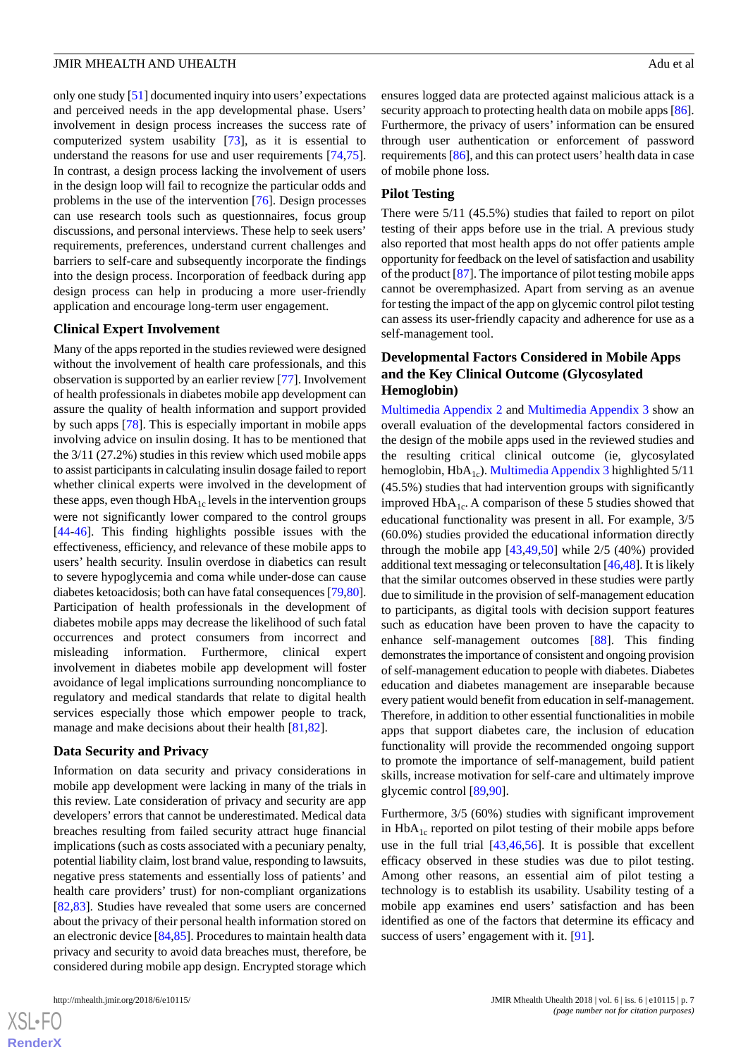only one study [[51\]](#page-10-4) documented inquiry into users' expectations and perceived needs in the app developmental phase. Users' involvement in design process increases the success rate of computerized system usability [[73\]](#page-11-8), as it is essential to understand the reasons for use and user requirements [\[74](#page-11-9),[75\]](#page-11-10). In contrast, a design process lacking the involvement of users in the design loop will fail to recognize the particular odds and problems in the use of the intervention [[76\]](#page-11-11). Design processes can use research tools such as questionnaires, focus group discussions, and personal interviews. These help to seek users' requirements, preferences, understand current challenges and barriers to self-care and subsequently incorporate the findings into the design process. Incorporation of feedback during app design process can help in producing a more user-friendly application and encourage long-term user engagement.

#### **Clinical Expert Involvement**

Many of the apps reported in the studies reviewed were designed without the involvement of health care professionals, and this observation is supported by an earlier review [\[77](#page-11-12)]. Involvement of health professionals in diabetes mobile app development can assure the quality of health information and support provided by such apps [\[78](#page-11-13)]. This is especially important in mobile apps involving advice on insulin dosing. It has to be mentioned that the 3/11 (27.2%) studies in this review which used mobile apps to assist participants in calculating insulin dosage failed to report whether clinical experts were involved in the development of these apps, even though  $HbA_{1c}$  levels in the intervention groups were not significantly lower compared to the control groups [[44](#page-9-17)[-46](#page-10-5)]. This finding highlights possible issues with the effectiveness, efficiency, and relevance of these mobile apps to users' health security. Insulin overdose in diabetics can result to severe hypoglycemia and coma while under-dose can cause diabetes ketoacidosis; both can have fatal consequences [[79,](#page-11-14)[80\]](#page-11-15). Participation of health professionals in the development of diabetes mobile apps may decrease the likelihood of such fatal occurrences and protect consumers from incorrect and misleading information. Furthermore, clinical expert involvement in diabetes mobile app development will foster avoidance of legal implications surrounding noncompliance to regulatory and medical standards that relate to digital health services especially those which empower people to track, manage and make decisions about their health [[81,](#page-11-16)[82](#page-11-17)].

#### **Data Security and Privacy**

Information on data security and privacy considerations in mobile app development were lacking in many of the trials in this review. Late consideration of privacy and security are app developers' errors that cannot be underestimated. Medical data breaches resulting from failed security attract huge financial implications (such as costs associated with a pecuniary penalty, potential liability claim, lost brand value, responding to lawsuits, negative press statements and essentially loss of patients' and health care providers' trust) for non-compliant organizations [[82](#page-11-17)[,83](#page-11-18)]. Studies have revealed that some users are concerned about the privacy of their personal health information stored on an electronic device [\[84](#page-11-19)[,85](#page-11-20)]. Procedures to maintain health data privacy and security to avoid data breaches must, therefore, be considered during mobile app design. Encrypted storage which

ensures logged data are protected against malicious attack is a security approach to protecting health data on mobile apps [\[86](#page-11-21)]. Furthermore, the privacy of users' information can be ensured through user authentication or enforcement of password requirements [[86\]](#page-11-21), and this can protect users' health data in case of mobile phone loss.

#### **Pilot Testing**

There were 5/11 (45.5%) studies that failed to report on pilot testing of their apps before use in the trial. A previous study also reported that most health apps do not offer patients ample opportunity for feedback on the level of satisfaction and usability of the product [[87\]](#page-11-22). The importance of pilot testing mobile apps cannot be overemphasized. Apart from serving as an avenue for testing the impact of the app on glycemic control pilot testing can assess its user-friendly capacity and adherence for use as a self-management tool.

# **Developmental Factors Considered in Mobile Apps and the Key Clinical Outcome (Glycosylated Hemoglobin)**

[Multimedia Appendix 2](#page-7-1) and [Multimedia Appendix 3](#page-7-2) show an overall evaluation of the developmental factors considered in the design of the mobile apps used in the reviewed studies and the resulting critical clinical outcome (ie, glycosylated hemoglobin,  $HbA_{1c}$ ). [Multimedia Appendix 3](#page-7-2) highlighted 5/11 (45.5%) studies that had intervention groups with significantly improved  $HbA_{1c}$ . A comparison of these 5 studies showed that educational functionality was present in all. For example, 3/5 (60.0%) studies provided the educational information directly through the mobile app [[43](#page-9-16)[,49](#page-10-8),[50\]](#page-10-1) while 2/5 (40%) provided additional text messaging or teleconsultation [[46,](#page-10-5)[48](#page-10-2)]. It is likely that the similar outcomes observed in these studies were partly due to similitude in the provision of self-management education to participants, as digital tools with decision support features such as education have been proven to have the capacity to enhance self-management outcomes [\[88](#page-12-0)]. This finding demonstrates the importance of consistent and ongoing provision of self-management education to people with diabetes. Diabetes education and diabetes management are inseparable because every patient would benefit from education in self-management. Therefore, in addition to other essential functionalities in mobile apps that support diabetes care, the inclusion of education functionality will provide the recommended ongoing support to promote the importance of self-management, build patient skills, increase motivation for self-care and ultimately improve glycemic control [[89,](#page-12-1)[90\]](#page-12-2).

Furthermore, 3/5 (60%) studies with significant improvement in  $HbA_{1c}$  reported on pilot testing of their mobile apps before use in the full trial [[43](#page-9-16)[,46](#page-10-5),[56\]](#page-10-11). It is possible that excellent efficacy observed in these studies was due to pilot testing. Among other reasons, an essential aim of pilot testing a technology is to establish its usability. Usability testing of a mobile app examines end users' satisfaction and has been identified as one of the factors that determine its efficacy and success of users' engagement with it. [[91\]](#page-12-3).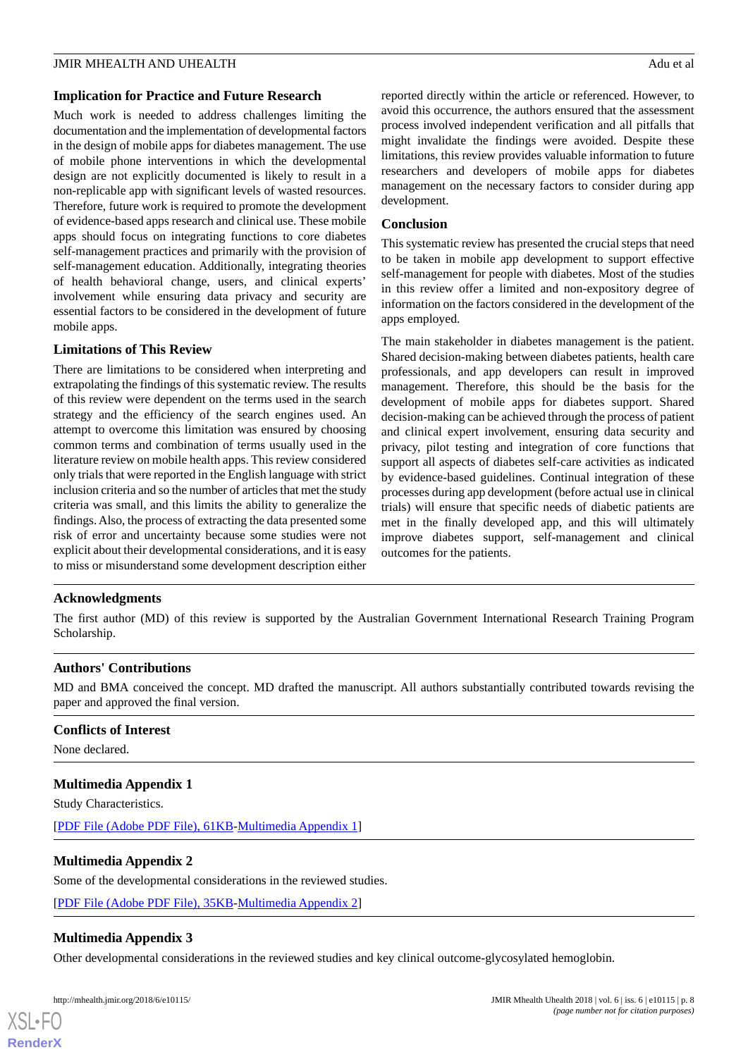#### **Implication for Practice and Future Research**

Much work is needed to address challenges limiting the documentation and the implementation of developmental factors in the design of mobile apps for diabetes management. The use of mobile phone interventions in which the developmental design are not explicitly documented is likely to result in a non-replicable app with significant levels of wasted resources. Therefore, future work is required to promote the development of evidence-based apps research and clinical use. These mobile apps should focus on integrating functions to core diabetes self-management practices and primarily with the provision of self-management education. Additionally, integrating theories of health behavioral change, users, and clinical experts' involvement while ensuring data privacy and security are essential factors to be considered in the development of future mobile apps.

# **Limitations of This Review**

There are limitations to be considered when interpreting and extrapolating the findings of this systematic review. The results of this review were dependent on the terms used in the search strategy and the efficiency of the search engines used. An attempt to overcome this limitation was ensured by choosing common terms and combination of terms usually used in the literature review on mobile health apps. This review considered only trials that were reported in the English language with strict inclusion criteria and so the number of articles that met the study criteria was small, and this limits the ability to generalize the findings. Also, the process of extracting the data presented some risk of error and uncertainty because some studies were not explicit about their developmental considerations, and it is easy to miss or misunderstand some development description either reported directly within the article or referenced. However, to avoid this occurrence, the authors ensured that the assessment process involved independent verification and all pitfalls that might invalidate the findings were avoided. Despite these limitations, this review provides valuable information to future researchers and developers of mobile apps for diabetes management on the necessary factors to consider during app development.

#### **Conclusion**

This systematic review has presented the crucial steps that need to be taken in mobile app development to support effective self-management for people with diabetes. Most of the studies in this review offer a limited and non-expository degree of information on the factors considered in the development of the apps employed.

The main stakeholder in diabetes management is the patient. Shared decision-making between diabetes patients, health care professionals, and app developers can result in improved management. Therefore, this should be the basis for the development of mobile apps for diabetes support. Shared decision-making can be achieved through the process of patient and clinical expert involvement, ensuring data security and privacy, pilot testing and integration of core functions that support all aspects of diabetes self-care activities as indicated by evidence-based guidelines. Continual integration of these processes during app development (before actual use in clinical trials) will ensure that specific needs of diabetic patients are met in the finally developed app, and this will ultimately improve diabetes support, self-management and clinical outcomes for the patients.

# **Acknowledgments**

The first author (MD) of this review is supported by the Australian Government International Research Training Program Scholarship.

# **Authors' Contributions**

<span id="page-7-0"></span>MD and BMA conceived the concept. MD drafted the manuscript. All authors substantially contributed towards revising the paper and approved the final version.

# **Conflicts of Interest**

None declared.

# <span id="page-7-1"></span>**Multimedia Appendix 1**

Study Characteristics.

<span id="page-7-2"></span>[[PDF File \(Adobe PDF File\), 61KB-Multimedia Appendix 1\]](https://jmir.org/api/download?alt_name=mhealth_v6i6e10115_app1.pdf)

# **Multimedia Appendix 2**

Some of the developmental considerations in the reviewed studies.

[[PDF File \(Adobe PDF File\), 35KB-Multimedia Appendix 2\]](https://jmir.org/api/download?alt_name=mhealth_v6i6e10115_app2.pdf)

# **Multimedia Appendix 3**

Other developmental considerations in the reviewed studies and key clinical outcome-glycosylated hemoglobin.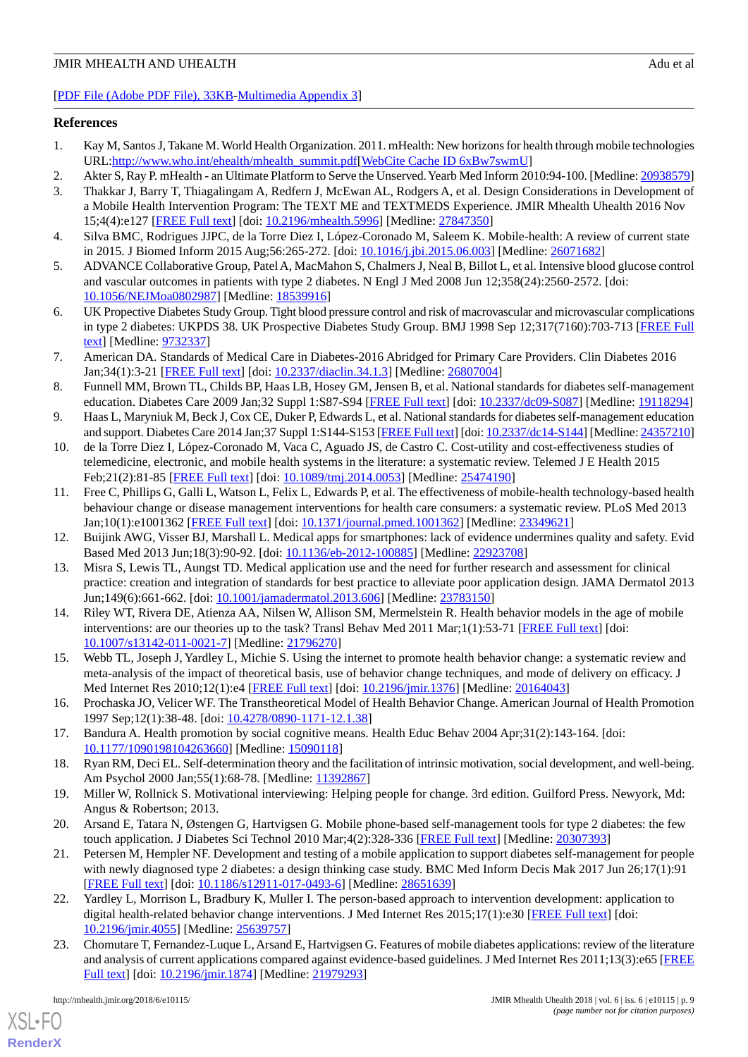# [[PDF File \(Adobe PDF File\), 33KB-Multimedia Appendix 3\]](https://jmir.org/api/download?alt_name=mhealth_v6i6e10115_app3.pdf)

# <span id="page-8-0"></span>**References**

- <span id="page-8-1"></span>1. Kay M, Santos J, Takane M. World Health Organization. 2011. mHealth: New horizons for health through mobile technologies URL[:http://www.who.int/ehealth/mhealth\\_summit.pdf](http://www.who.int/ehealth/mhealth_summit.pdf)[[WebCite Cache ID 6xBw7swmU\]](http://www.webcitation.org/
                                6xBw7swmU)
- <span id="page-8-2"></span>2. Akter S, Ray P. mHealth - an Ultimate Platform to Serve the Unserved. Yearb Med Inform 2010:94-100. [Medline: [20938579\]](http://www.ncbi.nlm.nih.gov/entrez/query.fcgi?cmd=Retrieve&db=PubMed&list_uids=20938579&dopt=Abstract)
- 3. Thakkar J, Barry T, Thiagalingam A, Redfern J, McEwan AL, Rodgers A, et al. Design Considerations in Development of a Mobile Health Intervention Program: The TEXT ME and TEXTMEDS Experience. JMIR Mhealth Uhealth 2016 Nov 15;4(4):e127 [\[FREE Full text](http://mhealth.jmir.org/2016/4/e127/)] [doi: [10.2196/mhealth.5996\]](http://dx.doi.org/10.2196/mhealth.5996) [Medline: [27847350](http://www.ncbi.nlm.nih.gov/entrez/query.fcgi?cmd=Retrieve&db=PubMed&list_uids=27847350&dopt=Abstract)]
- <span id="page-8-4"></span><span id="page-8-3"></span>4. Silva BMC, Rodrigues JJPC, de la Torre Diez I, López-Coronado M, Saleem K. Mobile-health: A review of current state in 2015. J Biomed Inform 2015 Aug;56:265-272. [doi: [10.1016/j.jbi.2015.06.003\]](http://dx.doi.org/10.1016/j.jbi.2015.06.003) [Medline: [26071682](http://www.ncbi.nlm.nih.gov/entrez/query.fcgi?cmd=Retrieve&db=PubMed&list_uids=26071682&dopt=Abstract)]
- <span id="page-8-5"></span>5. ADVANCE Collaborative Group, Patel A, MacMahon S, Chalmers J, Neal B, Billot L, et al. Intensive blood glucose control and vascular outcomes in patients with type 2 diabetes. N Engl J Med 2008 Jun 12;358(24):2560-2572. [doi: [10.1056/NEJMoa0802987](http://dx.doi.org/10.1056/NEJMoa0802987)] [Medline: [18539916](http://www.ncbi.nlm.nih.gov/entrez/query.fcgi?cmd=Retrieve&db=PubMed&list_uids=18539916&dopt=Abstract)]
- <span id="page-8-6"></span>6. UK Propective Diabetes Study Group. Tight blood pressure control and risk of macrovascular and microvascular complications in type 2 diabetes: UKPDS 38. UK Prospective Diabetes Study Group. BMJ 1998 Sep 12;317(7160):703-713 [[FREE Full](http://europepmc.org/abstract/MED/9732337) [text](http://europepmc.org/abstract/MED/9732337)] [Medline: [9732337](http://www.ncbi.nlm.nih.gov/entrez/query.fcgi?cmd=Retrieve&db=PubMed&list_uids=9732337&dopt=Abstract)]
- <span id="page-8-7"></span>7. American DA. Standards of Medical Care in Diabetes-2016 Abridged for Primary Care Providers. Clin Diabetes 2016 Jan;34(1):3-21 [\[FREE Full text\]](http://europepmc.org/abstract/MED/26807004) [doi: [10.2337/diaclin.34.1.3\]](http://dx.doi.org/10.2337/diaclin.34.1.3) [Medline: [26807004\]](http://www.ncbi.nlm.nih.gov/entrez/query.fcgi?cmd=Retrieve&db=PubMed&list_uids=26807004&dopt=Abstract)
- <span id="page-8-8"></span>8. Funnell MM, Brown TL, Childs BP, Haas LB, Hosey GM, Jensen B, et al. National standards for diabetes self-management education. Diabetes Care 2009 Jan;32 Suppl 1:S87-S94 [\[FREE Full text\]](http://europepmc.org/abstract/MED/19118294) [doi: [10.2337/dc09-S087](http://dx.doi.org/10.2337/dc09-S087)] [Medline: [19118294](http://www.ncbi.nlm.nih.gov/entrez/query.fcgi?cmd=Retrieve&db=PubMed&list_uids=19118294&dopt=Abstract)]
- <span id="page-8-9"></span>9. Haas L, Maryniuk M, Beck J, Cox CE, Duker P, Edwards L, et al. National standards for diabetes self-management education and support. Diabetes Care 2014 Jan;37 Suppl 1:S144-S153 [\[FREE Full text\]](http://europepmc.org/abstract/MED/24357210) [doi: [10.2337/dc14-S144](http://dx.doi.org/10.2337/dc14-S144)] [Medline: [24357210\]](http://www.ncbi.nlm.nih.gov/entrez/query.fcgi?cmd=Retrieve&db=PubMed&list_uids=24357210&dopt=Abstract)
- <span id="page-8-10"></span>10. de la Torre Diez I, López-Coronado M, Vaca C, Aguado JS, de Castro C. Cost-utility and cost-effectiveness studies of telemedicine, electronic, and mobile health systems in the literature: a systematic review. Telemed J E Health 2015 Feb;21(2):81-85 [[FREE Full text](http://europepmc.org/abstract/MED/25474190)] [doi: [10.1089/tmj.2014.0053](http://dx.doi.org/10.1089/tmj.2014.0053)] [Medline: [25474190\]](http://www.ncbi.nlm.nih.gov/entrez/query.fcgi?cmd=Retrieve&db=PubMed&list_uids=25474190&dopt=Abstract)
- <span id="page-8-12"></span><span id="page-8-11"></span>11. Free C, Phillips G, Galli L, Watson L, Felix L, Edwards P, et al. The effectiveness of mobile-health technology-based health behaviour change or disease management interventions for health care consumers: a systematic review. PLoS Med 2013 Jan;10(1):e1001362 [\[FREE Full text\]](http://dx.plos.org/10.1371/journal.pmed.1001362) [doi: [10.1371/journal.pmed.1001362\]](http://dx.doi.org/10.1371/journal.pmed.1001362) [Medline: [23349621\]](http://www.ncbi.nlm.nih.gov/entrez/query.fcgi?cmd=Retrieve&db=PubMed&list_uids=23349621&dopt=Abstract)
- 12. Buijink AWG, Visser BJ, Marshall L. Medical apps for smartphones: lack of evidence undermines quality and safety. Evid Based Med 2013 Jun;18(3):90-92. [doi: [10.1136/eb-2012-100885](http://dx.doi.org/10.1136/eb-2012-100885)] [Medline: [22923708\]](http://www.ncbi.nlm.nih.gov/entrez/query.fcgi?cmd=Retrieve&db=PubMed&list_uids=22923708&dopt=Abstract)
- <span id="page-8-13"></span>13. Misra S, Lewis TL, Aungst TD. Medical application use and the need for further research and assessment for clinical practice: creation and integration of standards for best practice to alleviate poor application design. JAMA Dermatol 2013 Jun;149(6):661-662. [doi: [10.1001/jamadermatol.2013.606\]](http://dx.doi.org/10.1001/jamadermatol.2013.606) [Medline: [23783150](http://www.ncbi.nlm.nih.gov/entrez/query.fcgi?cmd=Retrieve&db=PubMed&list_uids=23783150&dopt=Abstract)]
- <span id="page-8-15"></span><span id="page-8-14"></span>14. Riley WT, Rivera DE, Atienza AA, Nilsen W, Allison SM, Mermelstein R. Health behavior models in the age of mobile interventions: are our theories up to the task? Transl Behav Med 2011 Mar;1(1):53-71 [[FREE Full text](http://europepmc.org/abstract/MED/21796270)] [doi: [10.1007/s13142-011-0021-7\]](http://dx.doi.org/10.1007/s13142-011-0021-7) [Medline: [21796270](http://www.ncbi.nlm.nih.gov/entrez/query.fcgi?cmd=Retrieve&db=PubMed&list_uids=21796270&dopt=Abstract)]
- <span id="page-8-16"></span>15. Webb TL, Joseph J, Yardley L, Michie S. Using the internet to promote health behavior change: a systematic review and meta-analysis of the impact of theoretical basis, use of behavior change techniques, and mode of delivery on efficacy. J Med Internet Res 2010;12(1):e4 [[FREE Full text](http://www.jmir.org/2010/1/e4/)] [doi: [10.2196/jmir.1376](http://dx.doi.org/10.2196/jmir.1376)] [Medline: [20164043](http://www.ncbi.nlm.nih.gov/entrez/query.fcgi?cmd=Retrieve&db=PubMed&list_uids=20164043&dopt=Abstract)]
- <span id="page-8-18"></span><span id="page-8-17"></span>16. Prochaska JO, Velicer WF. The Transtheoretical Model of Health Behavior Change. American Journal of Health Promotion 1997 Sep;12(1):38-48. [doi: [10.4278/0890-1171-12.1.38\]](http://dx.doi.org/10.4278/0890-1171-12.1.38)
- <span id="page-8-19"></span>17. Bandura A. Health promotion by social cognitive means. Health Educ Behav 2004 Apr;31(2):143-164. [doi: [10.1177/1090198104263660\]](http://dx.doi.org/10.1177/1090198104263660) [Medline: [15090118\]](http://www.ncbi.nlm.nih.gov/entrez/query.fcgi?cmd=Retrieve&db=PubMed&list_uids=15090118&dopt=Abstract)
- <span id="page-8-20"></span>18. Ryan RM, Deci EL. Self-determination theory and the facilitation of intrinsic motivation, social development, and well-being. Am Psychol 2000 Jan; 55(1): 68-78. [Medline: [11392867\]](http://www.ncbi.nlm.nih.gov/entrez/query.fcgi?cmd=Retrieve&db=PubMed&list_uids=11392867&dopt=Abstract)
- 19. Miller W, Rollnick S. Motivational interviewing: Helping people for change. 3rd edition. Guilford Press. Newyork, Md: Angus & Robertson; 2013.
- <span id="page-8-21"></span>20. Arsand E, Tatara N, Østengen G, Hartvigsen G. Mobile phone-based self-management tools for type 2 diabetes: the few touch application. J Diabetes Sci Technol 2010 Mar;4(2):328-336 [[FREE Full text](http://europepmc.org/abstract/MED/20307393)] [Medline: [20307393\]](http://www.ncbi.nlm.nih.gov/entrez/query.fcgi?cmd=Retrieve&db=PubMed&list_uids=20307393&dopt=Abstract)
- <span id="page-8-22"></span>21. Petersen M, Hempler NF. Development and testing of a mobile application to support diabetes self-management for people with newly diagnosed type 2 diabetes: a design thinking case study. BMC Med Inform Decis Mak 2017 Jun 26;17(1):91 [[FREE Full text](https://bmcmedinformdecismak.biomedcentral.com/articles/10.1186/s12911-017-0493-6)] [doi: [10.1186/s12911-017-0493-6\]](http://dx.doi.org/10.1186/s12911-017-0493-6) [Medline: [28651639](http://www.ncbi.nlm.nih.gov/entrez/query.fcgi?cmd=Retrieve&db=PubMed&list_uids=28651639&dopt=Abstract)]
- 22. Yardley L, Morrison L, Bradbury K, Muller I. The person-based approach to intervention development: application to digital health-related behavior change interventions. J Med Internet Res 2015;17(1):e30 [\[FREE Full text\]](http://www.jmir.org/2015/1/e30/) [doi: [10.2196/jmir.4055](http://dx.doi.org/10.2196/jmir.4055)] [Medline: [25639757](http://www.ncbi.nlm.nih.gov/entrez/query.fcgi?cmd=Retrieve&db=PubMed&list_uids=25639757&dopt=Abstract)]
- 23. Chomutare T, Fernandez-Luque L, Arsand E, Hartvigsen G. Features of mobile diabetes applications: review of the literature and analysis of current applications compared against evidence-based guidelines. J Med Internet Res 2011;13(3):e65 [\[FREE](http://www.jmir.org/2011/3/e65/) [Full text\]](http://www.jmir.org/2011/3/e65/) [doi: [10.2196/jmir.1874](http://dx.doi.org/10.2196/jmir.1874)] [Medline: [21979293\]](http://www.ncbi.nlm.nih.gov/entrez/query.fcgi?cmd=Retrieve&db=PubMed&list_uids=21979293&dopt=Abstract)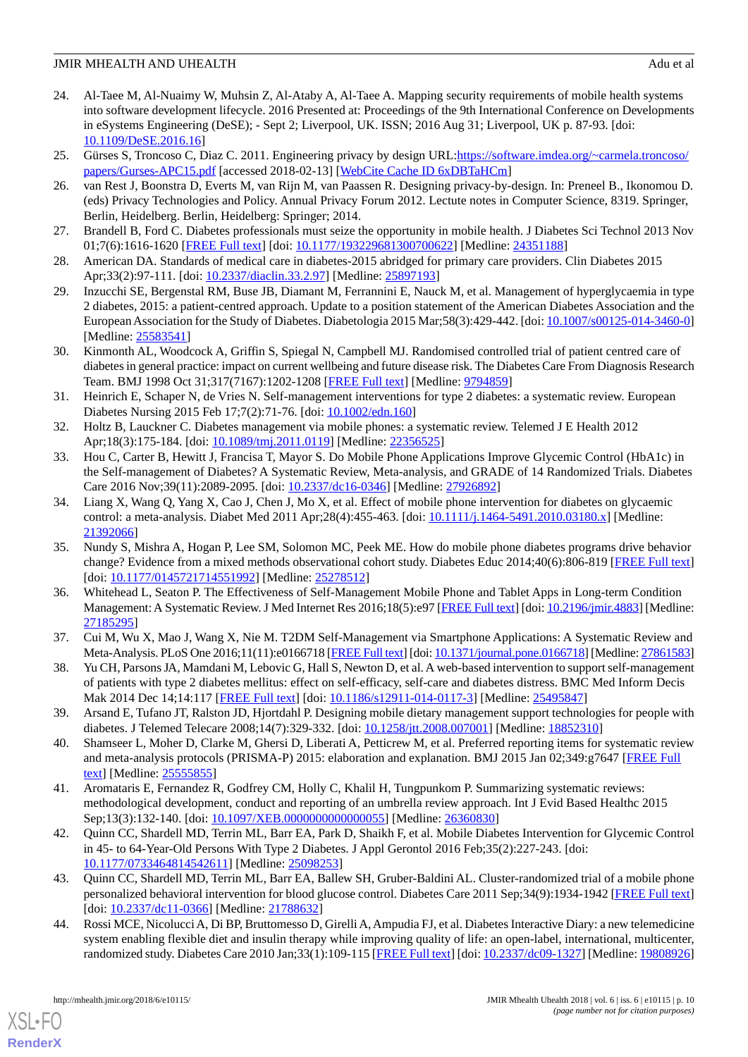- <span id="page-9-0"></span>24. Al-Taee M, Al-Nuaimy W, Muhsin Z, Al-Ataby A, Al-Taee A. Mapping security requirements of mobile health systems into software development lifecycle. 2016 Presented at: Proceedings of the 9th International Conference on Developments in eSystems Engineering (DeSE); - Sept 2; Liverpool, UK. ISSN; 2016 Aug 31; Liverpool, UK p. 87-93. [doi: [10.1109/DeSE.2016.16](http://dx.doi.org/10.1109/DeSE.2016.16)]
- <span id="page-9-2"></span><span id="page-9-1"></span>25. Gürses S, Troncoso C, Diaz C. 2011. Engineering privacy by design URL:*[https://software.imdea.org/~carmela.troncoso/](https://software.imdea.org/~carmela.troncoso/papers/Gurses-APC15.pdf)* [papers/Gurses-APC15.pdf](https://software.imdea.org/~carmela.troncoso/papers/Gurses-APC15.pdf) [accessed 2018-02-13] [[WebCite Cache ID 6xDBTaHCm](http://www.webcitation.org/
                                6xDBTaHCm)]
- <span id="page-9-3"></span>26. van Rest J, Boonstra D, Everts M, van Rijn M, van Paassen R. Designing privacy-by-design. In: Preneel B., Ikonomou D. (eds) Privacy Technologies and Policy. Annual Privacy Forum 2012. Lectute notes in Computer Science, 8319. Springer, Berlin, Heidelberg. Berlin, Heidelberg: Springer; 2014.
- <span id="page-9-4"></span>27. Brandell B, Ford C. Diabetes professionals must seize the opportunity in mobile health. J Diabetes Sci Technol 2013 Nov 01;7(6):1616-1620 [[FREE Full text](http://europepmc.org/abstract/MED/24351188)] [doi: [10.1177/193229681300700622\]](http://dx.doi.org/10.1177/193229681300700622) [Medline: [24351188\]](http://www.ncbi.nlm.nih.gov/entrez/query.fcgi?cmd=Retrieve&db=PubMed&list_uids=24351188&dopt=Abstract)
- 28. American DA. Standards of medical care in diabetes-2015 abridged for primary care providers. Clin Diabetes 2015 Apr;33(2):97-111. [doi: [10.2337/diaclin.33.2.97](http://dx.doi.org/10.2337/diaclin.33.2.97)] [Medline: [25897193\]](http://www.ncbi.nlm.nih.gov/entrez/query.fcgi?cmd=Retrieve&db=PubMed&list_uids=25897193&dopt=Abstract)
- <span id="page-9-5"></span>29. Inzucchi SE, Bergenstal RM, Buse JB, Diamant M, Ferrannini E, Nauck M, et al. Management of hyperglycaemia in type 2 diabetes, 2015: a patient-centred approach. Update to a position statement of the American Diabetes Association and the European Association for the Study of Diabetes. Diabetologia 2015 Mar;58(3):429-442. [doi: [10.1007/s00125-014-3460-0](http://dx.doi.org/10.1007/s00125-014-3460-0)] [Medline: [25583541](http://www.ncbi.nlm.nih.gov/entrez/query.fcgi?cmd=Retrieve&db=PubMed&list_uids=25583541&dopt=Abstract)]
- <span id="page-9-6"></span>30. Kinmonth AL, Woodcock A, Griffin S, Spiegal N, Campbell MJ. Randomised controlled trial of patient centred care of diabetes in general practice: impact on current wellbeing and future disease risk. The Diabetes Care From Diagnosis Research Team. BMJ 1998 Oct 31;317(7167):1202-1208 [\[FREE Full text\]](http://europepmc.org/abstract/MED/9794859) [Medline: [9794859](http://www.ncbi.nlm.nih.gov/entrez/query.fcgi?cmd=Retrieve&db=PubMed&list_uids=9794859&dopt=Abstract)]
- <span id="page-9-8"></span>31. Heinrich E, Schaper N, de Vries N. Self-management interventions for type 2 diabetes: a systematic review. European Diabetes Nursing 2015 Feb 17;7(2):71-76. [doi: [10.1002/edn.160\]](http://dx.doi.org/10.1002/edn.160)
- 32. Holtz B, Lauckner C. Diabetes management via mobile phones: a systematic review. Telemed J E Health 2012 Apr;18(3):175-184. [doi: [10.1089/tmj.2011.0119\]](http://dx.doi.org/10.1089/tmj.2011.0119) [Medline: [22356525](http://www.ncbi.nlm.nih.gov/entrez/query.fcgi?cmd=Retrieve&db=PubMed&list_uids=22356525&dopt=Abstract)]
- <span id="page-9-9"></span>33. Hou C, Carter B, Hewitt J, Francisa T, Mayor S. Do Mobile Phone Applications Improve Glycemic Control (HbA1c) in the Self-management of Diabetes? A Systematic Review, Meta-analysis, and GRADE of 14 Randomized Trials. Diabetes Care 2016 Nov;39(11):2089-2095. [doi: [10.2337/dc16-0346\]](http://dx.doi.org/10.2337/dc16-0346) [Medline: [27926892](http://www.ncbi.nlm.nih.gov/entrez/query.fcgi?cmd=Retrieve&db=PubMed&list_uids=27926892&dopt=Abstract)]
- 34. Liang X, Wang Q, Yang X, Cao J, Chen J, Mo X, et al. Effect of mobile phone intervention for diabetes on glycaemic control: a meta-analysis. Diabet Med 2011 Apr;28(4):455-463. [doi: [10.1111/j.1464-5491.2010.03180.x\]](http://dx.doi.org/10.1111/j.1464-5491.2010.03180.x) [Medline: [21392066](http://www.ncbi.nlm.nih.gov/entrez/query.fcgi?cmd=Retrieve&db=PubMed&list_uids=21392066&dopt=Abstract)]
- <span id="page-9-7"></span>35. Nundy S, Mishra A, Hogan P, Lee SM, Solomon MC, Peek ME. How do mobile phone diabetes programs drive behavior change? Evidence from a mixed methods observational cohort study. Diabetes Educ 2014;40(6):806-819 [\[FREE Full text](http://europepmc.org/abstract/MED/25278512)] [doi: [10.1177/0145721714551992](http://dx.doi.org/10.1177/0145721714551992)] [Medline: [25278512\]](http://www.ncbi.nlm.nih.gov/entrez/query.fcgi?cmd=Retrieve&db=PubMed&list_uids=25278512&dopt=Abstract)
- <span id="page-9-11"></span><span id="page-9-10"></span>36. Whitehead L, Seaton P. The Effectiveness of Self-Management Mobile Phone and Tablet Apps in Long-term Condition Management: A Systematic Review. J Med Internet Res 2016;18(5):e97 [\[FREE Full text\]](http://www.jmir.org/2016/5/e97/) [doi: [10.2196/jmir.4883\]](http://dx.doi.org/10.2196/jmir.4883) [Medline: [27185295](http://www.ncbi.nlm.nih.gov/entrez/query.fcgi?cmd=Retrieve&db=PubMed&list_uids=27185295&dopt=Abstract)]
- <span id="page-9-12"></span>37. Cui M, Wu X, Mao J, Wang X, Nie M. T2DM Self-Management via Smartphone Applications: A Systematic Review and Meta-Analysis. PLoS One 2016;11(11):e0166718 [[FREE Full text](http://dx.plos.org/10.1371/journal.pone.0166718)] [doi: [10.1371/journal.pone.0166718](http://dx.doi.org/10.1371/journal.pone.0166718)] [Medline: [27861583\]](http://www.ncbi.nlm.nih.gov/entrez/query.fcgi?cmd=Retrieve&db=PubMed&list_uids=27861583&dopt=Abstract)
- <span id="page-9-13"></span>38. Yu CH, Parsons JA, Mamdani M, Lebovic G, Hall S, Newton D, et al. A web-based intervention to support self-management of patients with type 2 diabetes mellitus: effect on self-efficacy, self-care and diabetes distress. BMC Med Inform Decis Mak 2014 Dec 14;14:117 [[FREE Full text](https://bmcmedinformdecismak.biomedcentral.com/articles/10.1186/s12911-014-0117-3)] [doi: [10.1186/s12911-014-0117-3\]](http://dx.doi.org/10.1186/s12911-014-0117-3) [Medline: [25495847](http://www.ncbi.nlm.nih.gov/entrez/query.fcgi?cmd=Retrieve&db=PubMed&list_uids=25495847&dopt=Abstract)]
- <span id="page-9-14"></span>39. Arsand E, Tufano JT, Ralston JD, Hjortdahl P. Designing mobile dietary management support technologies for people with diabetes. J Telemed Telecare 2008;14(7):329-332. [doi: [10.1258/jtt.2008.007001\]](http://dx.doi.org/10.1258/jtt.2008.007001) [Medline: [18852310\]](http://www.ncbi.nlm.nih.gov/entrez/query.fcgi?cmd=Retrieve&db=PubMed&list_uids=18852310&dopt=Abstract)
- <span id="page-9-15"></span>40. Shamseer L, Moher D, Clarke M, Ghersi D, Liberati A, Petticrew M, et al. Preferred reporting items for systematic review and meta-analysis protocols (PRISMA-P) 2015: elaboration and explanation. BMJ 2015 Jan 02;349:g7647 [[FREE Full](http://www.bmj.com/cgi/pmidlookup?view=long&pmid=25555855) [text](http://www.bmj.com/cgi/pmidlookup?view=long&pmid=25555855)] [Medline: [25555855](http://www.ncbi.nlm.nih.gov/entrez/query.fcgi?cmd=Retrieve&db=PubMed&list_uids=25555855&dopt=Abstract)]
- <span id="page-9-16"></span>41. Aromataris E, Fernandez R, Godfrey CM, Holly C, Khalil H, Tungpunkom P. Summarizing systematic reviews: methodological development, conduct and reporting of an umbrella review approach. Int J Evid Based Healthc 2015 Sep;13(3):132-140. [doi: [10.1097/XEB.0000000000000055](http://dx.doi.org/10.1097/XEB.0000000000000055)] [Medline: [26360830](http://www.ncbi.nlm.nih.gov/entrez/query.fcgi?cmd=Retrieve&db=PubMed&list_uids=26360830&dopt=Abstract)]
- <span id="page-9-17"></span>42. Quinn CC, Shardell MD, Terrin ML, Barr EA, Park D, Shaikh F, et al. Mobile Diabetes Intervention for Glycemic Control in 45- to 64-Year-Old Persons With Type 2 Diabetes. J Appl Gerontol 2016 Feb;35(2):227-243. [doi: [10.1177/0733464814542611\]](http://dx.doi.org/10.1177/0733464814542611) [Medline: [25098253\]](http://www.ncbi.nlm.nih.gov/entrez/query.fcgi?cmd=Retrieve&db=PubMed&list_uids=25098253&dopt=Abstract)
- 43. Quinn CC, Shardell MD, Terrin ML, Barr EA, Ballew SH, Gruber-Baldini AL. Cluster-randomized trial of a mobile phone personalized behavioral intervention for blood glucose control. Diabetes Care 2011 Sep;34(9):1934-1942 [[FREE Full text](http://europepmc.org/abstract/MED/21788632)] [doi: [10.2337/dc11-0366\]](http://dx.doi.org/10.2337/dc11-0366) [Medline: [21788632\]](http://www.ncbi.nlm.nih.gov/entrez/query.fcgi?cmd=Retrieve&db=PubMed&list_uids=21788632&dopt=Abstract)
- 44. Rossi MCE, Nicolucci A, Di BP, Bruttomesso D, Girelli A, Ampudia FJ, et al. Diabetes Interactive Diary: a new telemedicine system enabling flexible diet and insulin therapy while improving quality of life: an open-label, international, multicenter, randomized study. Diabetes Care 2010 Jan;33(1):109-115 [[FREE Full text\]](http://europepmc.org/abstract/MED/19808926) [doi: [10.2337/dc09-1327\]](http://dx.doi.org/10.2337/dc09-1327) [Medline: [19808926](http://www.ncbi.nlm.nih.gov/entrez/query.fcgi?cmd=Retrieve&db=PubMed&list_uids=19808926&dopt=Abstract)]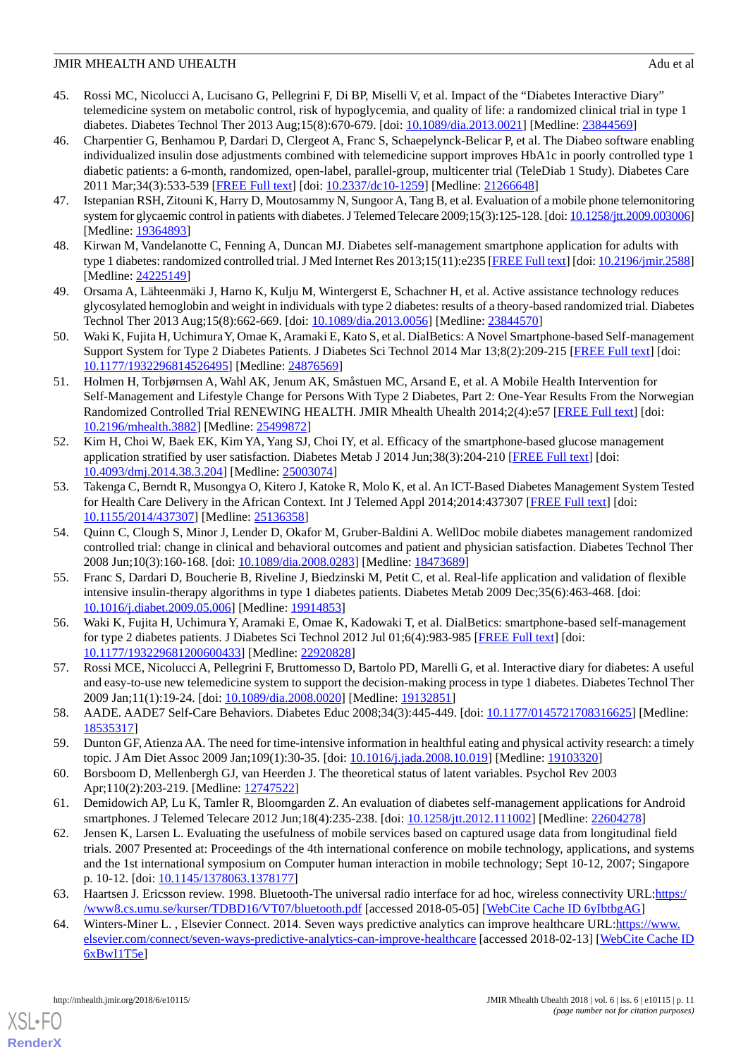- <span id="page-10-0"></span>45. Rossi MC, Nicolucci A, Lucisano G, Pellegrini F, Di BP, Miselli V, et al. Impact of the "Diabetes Interactive Diary" telemedicine system on metabolic control, risk of hypoglycemia, and quality of life: a randomized clinical trial in type 1 diabetes. Diabetes Technol Ther 2013 Aug;15(8):670-679. [doi: [10.1089/dia.2013.0021\]](http://dx.doi.org/10.1089/dia.2013.0021) [Medline: [23844569\]](http://www.ncbi.nlm.nih.gov/entrez/query.fcgi?cmd=Retrieve&db=PubMed&list_uids=23844569&dopt=Abstract)
- <span id="page-10-5"></span>46. Charpentier G, Benhamou P, Dardari D, Clergeot A, Franc S, Schaepelynck-Belicar P, et al. The Diabeo software enabling individualized insulin dose adjustments combined with telemedicine support improves HbA1c in poorly controlled type 1 diabetic patients: a 6-month, randomized, open-label, parallel-group, multicenter trial (TeleDiab 1 Study). Diabetes Care 2011 Mar;34(3):533-539 [\[FREE Full text](http://europepmc.org/abstract/MED/21266648)] [doi: [10.2337/dc10-1259\]](http://dx.doi.org/10.2337/dc10-1259) [Medline: [21266648\]](http://www.ncbi.nlm.nih.gov/entrez/query.fcgi?cmd=Retrieve&db=PubMed&list_uids=21266648&dopt=Abstract)
- <span id="page-10-3"></span><span id="page-10-2"></span>47. Istepanian RSH, Zitouni K, Harry D, Moutosammy N, Sungoor A, Tang B, et al. Evaluation of a mobile phone telemonitoring system for glycaemic control in patients with diabetes. J Telemed Telecare 2009;15(3):125-128. [doi: [10.1258/jtt.2009.003006](http://dx.doi.org/10.1258/jtt.2009.003006)] [Medline: [19364893](http://www.ncbi.nlm.nih.gov/entrez/query.fcgi?cmd=Retrieve&db=PubMed&list_uids=19364893&dopt=Abstract)]
- <span id="page-10-8"></span>48. Kirwan M, Vandelanotte C, Fenning A, Duncan MJ. Diabetes self-management smartphone application for adults with type 1 diabetes: randomized controlled trial. J Med Internet Res 2013;15(11):e235 [[FREE Full text\]](http://www.jmir.org/2013/11/e235/) [doi: [10.2196/jmir.2588](http://dx.doi.org/10.2196/jmir.2588)] [Medline: [24225149](http://www.ncbi.nlm.nih.gov/entrez/query.fcgi?cmd=Retrieve&db=PubMed&list_uids=24225149&dopt=Abstract)]
- <span id="page-10-1"></span>49. Orsama A, Lähteenmäki J, Harno K, Kulju M, Wintergerst E, Schachner H, et al. Active assistance technology reduces glycosylated hemoglobin and weight in individuals with type 2 diabetes: results of a theory-based randomized trial. Diabetes Technol Ther 2013 Aug;15(8):662-669. [doi: [10.1089/dia.2013.0056\]](http://dx.doi.org/10.1089/dia.2013.0056) [Medline: [23844570\]](http://www.ncbi.nlm.nih.gov/entrez/query.fcgi?cmd=Retrieve&db=PubMed&list_uids=23844570&dopt=Abstract)
- <span id="page-10-4"></span>50. Waki K, Fujita H, Uchimura Y, Omae K, Aramaki E, Kato S, et al. DialBetics: A Novel Smartphone-based Self-management Support System for Type 2 Diabetes Patients. J Diabetes Sci Technol 2014 Mar 13;8(2):209-215 [[FREE Full text](http://europepmc.org/abstract/MED/24876569)] [doi: [10.1177/1932296814526495\]](http://dx.doi.org/10.1177/1932296814526495) [Medline: [24876569\]](http://www.ncbi.nlm.nih.gov/entrez/query.fcgi?cmd=Retrieve&db=PubMed&list_uids=24876569&dopt=Abstract)
- <span id="page-10-6"></span>51. Holmen H, Torbjørnsen A, Wahl AK, Jenum AK, Småstuen MC, Arsand E, et al. A Mobile Health Intervention for Self-Management and Lifestyle Change for Persons With Type 2 Diabetes, Part 2: One-Year Results From the Norwegian Randomized Controlled Trial RENEWING HEALTH. JMIR Mhealth Uhealth 2014;2(4):e57 [[FREE Full text](http://mhealth.jmir.org/2014/4/e57/)] [doi: [10.2196/mhealth.3882](http://dx.doi.org/10.2196/mhealth.3882)] [Medline: [25499872](http://www.ncbi.nlm.nih.gov/entrez/query.fcgi?cmd=Retrieve&db=PubMed&list_uids=25499872&dopt=Abstract)]
- <span id="page-10-7"></span>52. Kim H, Choi W, Baek EK, Kim YA, Yang SJ, Choi IY, et al. Efficacy of the smartphone-based glucose management application stratified by user satisfaction. Diabetes Metab J 2014 Jun;38(3):204-210 [\[FREE Full text](http://e-dmj.org/DOIx.php?id=10.4093/dmj.2014.38.3.204)] [doi: [10.4093/dmj.2014.38.3.204](http://dx.doi.org/10.4093/dmj.2014.38.3.204)] [Medline: [25003074](http://www.ncbi.nlm.nih.gov/entrez/query.fcgi?cmd=Retrieve&db=PubMed&list_uids=25003074&dopt=Abstract)]
- <span id="page-10-9"></span>53. Takenga C, Berndt R, Musongya O, Kitero J, Katoke R, Molo K, et al. An ICT-Based Diabetes Management System Tested for Health Care Delivery in the African Context. Int J Telemed Appl 2014;2014:437307 [\[FREE Full text\]](https://dx.doi.org/10.1155/2014/437307) [doi: [10.1155/2014/437307\]](http://dx.doi.org/10.1155/2014/437307) [Medline: [25136358](http://www.ncbi.nlm.nih.gov/entrez/query.fcgi?cmd=Retrieve&db=PubMed&list_uids=25136358&dopt=Abstract)]
- <span id="page-10-10"></span>54. Quinn C, Clough S, Minor J, Lender D, Okafor M, Gruber-Baldini A. WellDoc mobile diabetes management randomized controlled trial: change in clinical and behavioral outcomes and patient and physician satisfaction. Diabetes Technol Ther 2008 Jun;10(3):160-168. [doi: [10.1089/dia.2008.0283](http://dx.doi.org/10.1089/dia.2008.0283)] [Medline: [18473689](http://www.ncbi.nlm.nih.gov/entrez/query.fcgi?cmd=Retrieve&db=PubMed&list_uids=18473689&dopt=Abstract)]
- <span id="page-10-11"></span>55. Franc S, Dardari D, Boucherie B, Riveline J, Biedzinski M, Petit C, et al. Real-life application and validation of flexible intensive insulin-therapy algorithms in type 1 diabetes patients. Diabetes Metab 2009 Dec;35(6):463-468. [doi: [10.1016/j.diabet.2009.05.006](http://dx.doi.org/10.1016/j.diabet.2009.05.006)] [Medline: [19914853\]](http://www.ncbi.nlm.nih.gov/entrez/query.fcgi?cmd=Retrieve&db=PubMed&list_uids=19914853&dopt=Abstract)
- <span id="page-10-13"></span><span id="page-10-12"></span>56. Waki K, Fujita H, Uchimura Y, Aramaki E, Omae K, Kadowaki T, et al. DialBetics: smartphone-based self-management for type 2 diabetes patients. J Diabetes Sci Technol 2012 Jul 01;6(4):983-985 [[FREE Full text](http://europepmc.org/abstract/MED/22920828)] [doi: [10.1177/193229681200600433\]](http://dx.doi.org/10.1177/193229681200600433) [Medline: [22920828\]](http://www.ncbi.nlm.nih.gov/entrez/query.fcgi?cmd=Retrieve&db=PubMed&list_uids=22920828&dopt=Abstract)
- <span id="page-10-14"></span>57. Rossi MCE, Nicolucci A, Pellegrini F, Bruttomesso D, Bartolo PD, Marelli G, et al. Interactive diary for diabetes: A useful and easy-to-use new telemedicine system to support the decision-making process in type 1 diabetes. Diabetes Technol Ther 2009 Jan;11(1):19-24. [doi: [10.1089/dia.2008.0020\]](http://dx.doi.org/10.1089/dia.2008.0020) [Medline: [19132851\]](http://www.ncbi.nlm.nih.gov/entrez/query.fcgi?cmd=Retrieve&db=PubMed&list_uids=19132851&dopt=Abstract)
- <span id="page-10-16"></span><span id="page-10-15"></span>58. AADE. AADE7 Self-Care Behaviors. Diabetes Educ 2008;34(3):445-449. [doi: [10.1177/0145721708316625\]](http://dx.doi.org/10.1177/0145721708316625) [Medline: [18535317](http://www.ncbi.nlm.nih.gov/entrez/query.fcgi?cmd=Retrieve&db=PubMed&list_uids=18535317&dopt=Abstract)]
- <span id="page-10-17"></span>59. Dunton GF, Atienza AA. The need for time-intensive information in healthful eating and physical activity research: a timely topic. J Am Diet Assoc 2009 Jan;109(1):30-35. [doi: [10.1016/j.jada.2008.10.019](http://dx.doi.org/10.1016/j.jada.2008.10.019)] [Medline: [19103320](http://www.ncbi.nlm.nih.gov/entrez/query.fcgi?cmd=Retrieve&db=PubMed&list_uids=19103320&dopt=Abstract)]
- 60. Borsboom D, Mellenbergh GJ, van Heerden J. The theoretical status of latent variables. Psychol Rev 2003 Apr;110(2):203-219. [Medline: [12747522\]](http://www.ncbi.nlm.nih.gov/entrez/query.fcgi?cmd=Retrieve&db=PubMed&list_uids=12747522&dopt=Abstract)
- <span id="page-10-18"></span>61. Demidowich AP, Lu K, Tamler R, Bloomgarden Z. An evaluation of diabetes self-management applications for Android smartphones. J Telemed Telecare 2012 Jun;18(4):235-238. [doi: [10.1258/jtt.2012.111002](http://dx.doi.org/10.1258/jtt.2012.111002)] [Medline: [22604278\]](http://www.ncbi.nlm.nih.gov/entrez/query.fcgi?cmd=Retrieve&db=PubMed&list_uids=22604278&dopt=Abstract)
- <span id="page-10-19"></span>62. Jensen K, Larsen L. Evaluating the usefulness of mobile services based on captured usage data from longitudinal field trials. 2007 Presented at: Proceedings of the 4th international conference on mobile technology, applications, and systems and the 1st international symposium on Computer human interaction in mobile technology; Sept 10-12, 2007; Singapore p. 10-12. [doi: [10.1145/1378063.1378177](http://dx.doi.org/10.1145/1378063.1378177)]
- 63. Haartsen J. Ericsson review. 1998. Bluetooth-The universal radio interface for ad hoc, wireless connectivity URL:[https:/](https://www8.cs.umu.se/kurser/TDBD16/VT07/bluetooth.pdf) [/www8.cs.umu.se/kurser/TDBD16/VT07/bluetooth.pdf](https://www8.cs.umu.se/kurser/TDBD16/VT07/bluetooth.pdf) [accessed 2018-05-05] [\[WebCite Cache ID 6yIbtbgAG](http://www.webcitation.org/
                                6yIbtbgAG)]
- 64. Winters-Miner L., Elsevier Connect. 2014. Seven ways predictive analytics can improve healthcare URL[:https://www.](https://www.elsevier.com/connect/seven-ways-predictive-analytics-can-improve-healthcare) [elsevier.com/connect/seven-ways-predictive-analytics-can-improve-healthcare](https://www.elsevier.com/connect/seven-ways-predictive-analytics-can-improve-healthcare) [accessed 2018-02-13] [[WebCite Cache ID](http://www.webcitation.org/
                                6xBwI1T5e) [6xBwI1T5e](http://www.webcitation.org/
                                6xBwI1T5e)]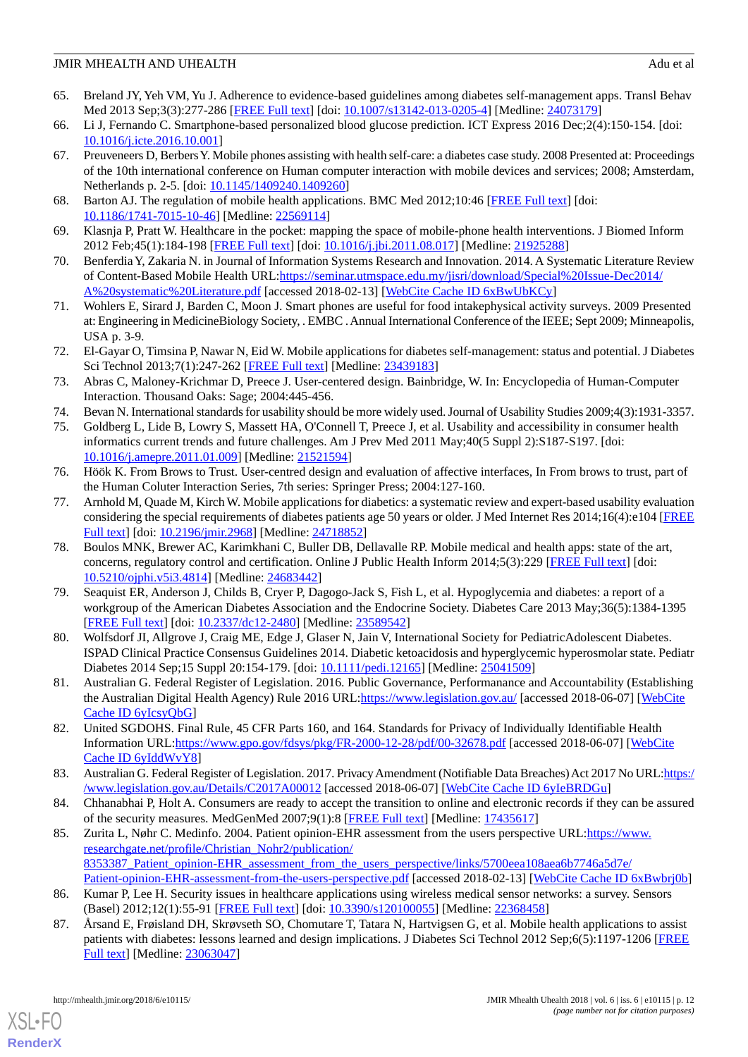- <span id="page-11-0"></span>65. Breland JY, Yeh VM, Yu J. Adherence to evidence-based guidelines among diabetes self-management apps. Transl Behav Med 2013 Sep;3(3):277-286 [\[FREE Full text\]](http://europepmc.org/abstract/MED/24073179) [doi: [10.1007/s13142-013-0205-4](http://dx.doi.org/10.1007/s13142-013-0205-4)] [Medline: [24073179\]](http://www.ncbi.nlm.nih.gov/entrez/query.fcgi?cmd=Retrieve&db=PubMed&list_uids=24073179&dopt=Abstract)
- <span id="page-11-2"></span><span id="page-11-1"></span>66. Li J, Fernando C. Smartphone-based personalized blood glucose prediction. ICT Express 2016 Dec;2(4):150-154. [doi: [10.1016/j.icte.2016.10.001](http://dx.doi.org/10.1016/j.icte.2016.10.001)]
- 67. Preuveneers D, Berbers Y. Mobile phones assisting with health self-care: a diabetes case study. 2008 Presented at: Proceedings of the 10th international conference on Human computer interaction with mobile devices and services; 2008; Amsterdam, Netherlands p. 2-5. [doi: [10.1145/1409240.1409260\]](http://dx.doi.org/10.1145/1409240.1409260)
- <span id="page-11-4"></span><span id="page-11-3"></span>68. Barton AJ. The regulation of mobile health applications. BMC Med 2012;10:46 [[FREE Full text](http://www.biomedcentral.com/1741-7015/10/46)] [doi: [10.1186/1741-7015-10-46\]](http://dx.doi.org/10.1186/1741-7015-10-46) [Medline: [22569114\]](http://www.ncbi.nlm.nih.gov/entrez/query.fcgi?cmd=Retrieve&db=PubMed&list_uids=22569114&dopt=Abstract)
- <span id="page-11-5"></span>69. Klasnja P, Pratt W. Healthcare in the pocket: mapping the space of mobile-phone health interventions. J Biomed Inform 2012 Feb;45(1):184-198 [\[FREE Full text\]](https://linkinghub.elsevier.com/retrieve/pii/S1532-0464(11)00144-4) [doi: [10.1016/j.jbi.2011.08.017\]](http://dx.doi.org/10.1016/j.jbi.2011.08.017) [Medline: [21925288](http://www.ncbi.nlm.nih.gov/entrez/query.fcgi?cmd=Retrieve&db=PubMed&list_uids=21925288&dopt=Abstract)]
- <span id="page-11-6"></span>70. Benferdia Y, Zakaria N. in Journal of Information Systems Research and Innovation. 2014. A Systematic Literature Review of Content-Based Mobile Health URL:[https://seminar.utmspace.edu.my/jisri/download/Special%20Issue-Dec2014/](https://seminar.utmspace.edu.my/jisri/download/Special%20Issue-Dec2014/A%20systematic%20Literature.pdf) [A%20systematic%20Literature.pdf](https://seminar.utmspace.edu.my/jisri/download/Special%20Issue-Dec2014/A%20systematic%20Literature.pdf) [accessed 2018-02-13] [\[WebCite Cache ID 6xBwUbKCy\]](http://www.webcitation.org/
                                6xBwUbKCy)
- <span id="page-11-7"></span>71. Wohlers E, Sirard J, Barden C, Moon J. Smart phones are useful for food intakephysical activity surveys. 2009 Presented at: Engineering in MedicineBiology Society, . EMBC . Annual International Conference of the IEEE; Sept 2009; Minneapolis, USA p. 3-9.
- <span id="page-11-8"></span>72. El-Gayar O, Timsina P, Nawar N, Eid W. Mobile applications for diabetes self-management: status and potential. J Diabetes Sci Technol 2013;7(1):247-262 [[FREE Full text\]](http://europepmc.org/abstract/MED/23439183) [Medline: [23439183\]](http://www.ncbi.nlm.nih.gov/entrez/query.fcgi?cmd=Retrieve&db=PubMed&list_uids=23439183&dopt=Abstract)
- <span id="page-11-10"></span><span id="page-11-9"></span>73. Abras C, Maloney-Krichmar D, Preece J. User-centered design. Bainbridge, W. In: Encyclopedia of Human-Computer Interaction. Thousand Oaks: Sage; 2004:445-456.
- 74. Bevan N. International standards for usability should be more widely used. Journal of Usability Studies 2009;4(3):1931-3357.
- <span id="page-11-11"></span>75. Goldberg L, Lide B, Lowry S, Massett HA, O'Connell T, Preece J, et al. Usability and accessibility in consumer health informatics current trends and future challenges. Am J Prev Med 2011 May;40(5 Suppl 2):S187-S197. [doi: [10.1016/j.amepre.2011.01.009](http://dx.doi.org/10.1016/j.amepre.2011.01.009)] [Medline: [21521594\]](http://www.ncbi.nlm.nih.gov/entrez/query.fcgi?cmd=Retrieve&db=PubMed&list_uids=21521594&dopt=Abstract)
- <span id="page-11-12"></span>76. Höök K. From Brows to Trust. User-centred design and evaluation of affective interfaces, In From brows to trust, part of the Human Coluter Interaction Series, 7th series: Springer Press; 2004:127-160.
- <span id="page-11-13"></span>77. Arnhold M, Quade M, Kirch W. Mobile applications for diabetics: a systematic review and expert-based usability evaluation considering the special requirements of diabetes patients age 50 years or older. J Med Internet Res 2014;16(4):e104 [\[FREE](http://www.jmir.org/2014/4/e104/) [Full text\]](http://www.jmir.org/2014/4/e104/) [doi: [10.2196/jmir.2968](http://dx.doi.org/10.2196/jmir.2968)] [Medline: [24718852\]](http://www.ncbi.nlm.nih.gov/entrez/query.fcgi?cmd=Retrieve&db=PubMed&list_uids=24718852&dopt=Abstract)
- <span id="page-11-14"></span>78. Boulos MNK, Brewer AC, Karimkhani C, Buller DB, Dellavalle RP. Mobile medical and health apps: state of the art, concerns, regulatory control and certification. Online J Public Health Inform 2014;5(3):229 [\[FREE Full text](http://europepmc.org/abstract/MED/24683442)] [doi: [10.5210/ojphi.v5i3.4814](http://dx.doi.org/10.5210/ojphi.v5i3.4814)] [Medline: [24683442\]](http://www.ncbi.nlm.nih.gov/entrez/query.fcgi?cmd=Retrieve&db=PubMed&list_uids=24683442&dopt=Abstract)
- <span id="page-11-16"></span><span id="page-11-15"></span>79. Seaquist ER, Anderson J, Childs B, Cryer P, Dagogo-Jack S, Fish L, et al. Hypoglycemia and diabetes: a report of a workgroup of the American Diabetes Association and the Endocrine Society. Diabetes Care 2013 May;36(5):1384-1395 [[FREE Full text](http://europepmc.org/abstract/MED/23589542)] [doi: [10.2337/dc12-2480\]](http://dx.doi.org/10.2337/dc12-2480) [Medline: [23589542](http://www.ncbi.nlm.nih.gov/entrez/query.fcgi?cmd=Retrieve&db=PubMed&list_uids=23589542&dopt=Abstract)]
- <span id="page-11-17"></span>80. Wolfsdorf JI, Allgrove J, Craig ME, Edge J, Glaser N, Jain V, International Society for PediatricAdolescent Diabetes. ISPAD Clinical Practice Consensus Guidelines 2014. Diabetic ketoacidosis and hyperglycemic hyperosmolar state. Pediatr Diabetes 2014 Sep;15 Suppl 20:154-179. [doi: [10.1111/pedi.12165](http://dx.doi.org/10.1111/pedi.12165)] [Medline: [25041509\]](http://www.ncbi.nlm.nih.gov/entrez/query.fcgi?cmd=Retrieve&db=PubMed&list_uids=25041509&dopt=Abstract)
- <span id="page-11-18"></span>81. Australian G. Federal Register of Legislation. 2016. Public Governance, Performanance and Accountability (Establishing the Australian Digital Health Agency) Rule 2016 URL[:https://www.legislation.gov.au/](https://www.legislation.gov.au/) [accessed 2018-06-07] [[WebCite](http://www.webcitation.org/
                                6yIcsyQbG) [Cache ID 6yIcsyQbG](http://www.webcitation.org/
                                6yIcsyQbG)]
- <span id="page-11-20"></span><span id="page-11-19"></span>82. United SGDOHS. Final Rule, 45 CFR Parts 160, and 164. Standards for Privacy of Individually Identifiable Health Information URL:<https://www.gpo.gov/fdsys/pkg/FR-2000-12-28/pdf/00-32678.pdf>[accessed 2018-06-07] [\[WebCite](http://www.webcitation.org/
                                6yIddWvY8) [Cache ID 6yIddWvY8](http://www.webcitation.org/
                                6yIddWvY8)]
- 83. Australian G. Federal Register of Legislation. 2017. Privacy Amendment (Notifiable Data Breaches) Act 2017 No URL: https:/ [/www.legislation.gov.au/Details/C2017A00012](https://www.legislation.gov.au/Details/C2017A00012) [accessed 2018-06-07] [[WebCite Cache ID 6yIeBRDGu](http://www.webcitation.org/
                                6yIeBRDGu)]
- <span id="page-11-21"></span>84. Chhanabhai P, Holt A. Consumers are ready to accept the transition to online and electronic records if they can be assured of the security measures. MedGenMed 2007;9(1):8 [\[FREE Full text\]](http://www.medscape.com/viewarticle/549468) [Medline: [17435617\]](http://www.ncbi.nlm.nih.gov/entrez/query.fcgi?cmd=Retrieve&db=PubMed&list_uids=17435617&dopt=Abstract)
- <span id="page-11-22"></span>85. Zurita L, Nøhr C. Medinfo. 2004. Patient opinion-EHR assessment from the users perspective URL[:https://www.](https://www.researchgate.net/profile/Christian_Nohr2/publication/8353387_Patient_opinion-EHR_assessment_from_the_users_perspective/links/5700eea108aea6b7746a5d7e/Patient-opinion-EHR-assessment-from-the-users-perspective.pdf) [researchgate.net/profile/Christian\\_Nohr2/publication/](https://www.researchgate.net/profile/Christian_Nohr2/publication/8353387_Patient_opinion-EHR_assessment_from_the_users_perspective/links/5700eea108aea6b7746a5d7e/Patient-opinion-EHR-assessment-from-the-users-perspective.pdf) [8353387\\_Patient\\_opinion-EHR\\_assessment\\_from\\_the\\_users\\_perspective/links/5700eea108aea6b7746a5d7e/](https://www.researchgate.net/profile/Christian_Nohr2/publication/8353387_Patient_opinion-EHR_assessment_from_the_users_perspective/links/5700eea108aea6b7746a5d7e/Patient-opinion-EHR-assessment-from-the-users-perspective.pdf) [Patient-opinion-EHR-assessment-from-the-users-perspective.pdf](https://www.researchgate.net/profile/Christian_Nohr2/publication/8353387_Patient_opinion-EHR_assessment_from_the_users_perspective/links/5700eea108aea6b7746a5d7e/Patient-opinion-EHR-assessment-from-the-users-perspective.pdf) [accessed 2018-02-13] [[WebCite Cache ID 6xBwbrj0b\]](http://www.webcitation.org/
                                6xBwbrj0b)
- 86. Kumar P, Lee H. Security issues in healthcare applications using wireless medical sensor networks: a survey. Sensors (Basel) 2012;12(1):55-91 [\[FREE Full text\]](http://www.mdpi.com/resolver?pii=s120100055) [doi: [10.3390/s120100055](http://dx.doi.org/10.3390/s120100055)] [Medline: [22368458\]](http://www.ncbi.nlm.nih.gov/entrez/query.fcgi?cmd=Retrieve&db=PubMed&list_uids=22368458&dopt=Abstract)
- 87. Årsand E, Frøisland DH, Skrøvseth SO, Chomutare T, Tatara N, Hartvigsen G, et al. Mobile health applications to assist patients with diabetes: lessons learned and design implications. J Diabetes Sci Technol 2012 Sep;6(5):1197-1206 [\[FREE](http://europepmc.org/abstract/MED/23063047) [Full text\]](http://europepmc.org/abstract/MED/23063047) [Medline: [23063047\]](http://www.ncbi.nlm.nih.gov/entrez/query.fcgi?cmd=Retrieve&db=PubMed&list_uids=23063047&dopt=Abstract)